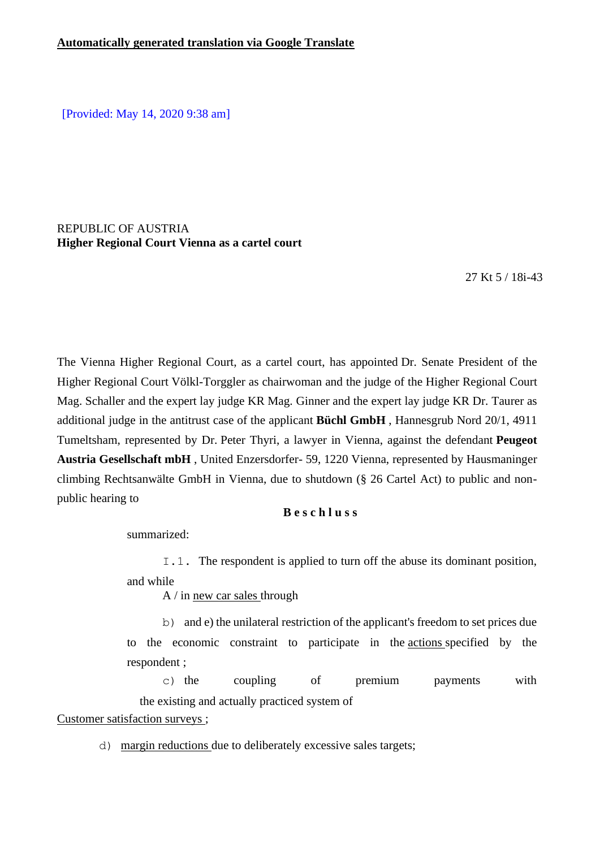[Provided: May 14, 2020 9:38 am]

### REPUBLIC OF AUSTRIA **Higher Regional Court Vienna as a cartel court**

27 Kt 5 / 18i-43

The Vienna Higher Regional Court, as a cartel court, has appointed Dr. Senate President of the Higher Regional Court Völkl-Torggler as chairwoman and the judge of the Higher Regional Court Mag. Schaller and the expert lay judge KR Mag. Ginner and the expert lay judge KR Dr. Taurer as additional judge in the antitrust case of the applicant **Büchl GmbH** , Hannesgrub Nord 20/1, 4911 Tumeltsham, represented by Dr. Peter Thyri, a lawyer in Vienna, against the defendant **Peugeot Austria Gesellschaft mbH** , United Enzersdorfer- 59, 1220 Vienna, represented by Hausmaninger climbing Rechtsanwälte GmbH in Vienna, due to shutdown (§ 26 Cartel Act) to public and nonpublic hearing to

### **B e s c h l u s s**

summarized:

I.1. The respondent is applied to turn off the abuse its dominant position, and while

A / in new car sales through

b) and e) the unilateral restriction of the applicant's freedom to set prices due to the economic constraint to participate in the actions specified by the respondent ;

c) the coupling of premium payments with the existing and actually practiced system of Customer satisfaction surveys ;

d) margin reductions due to deliberately excessive sales targets;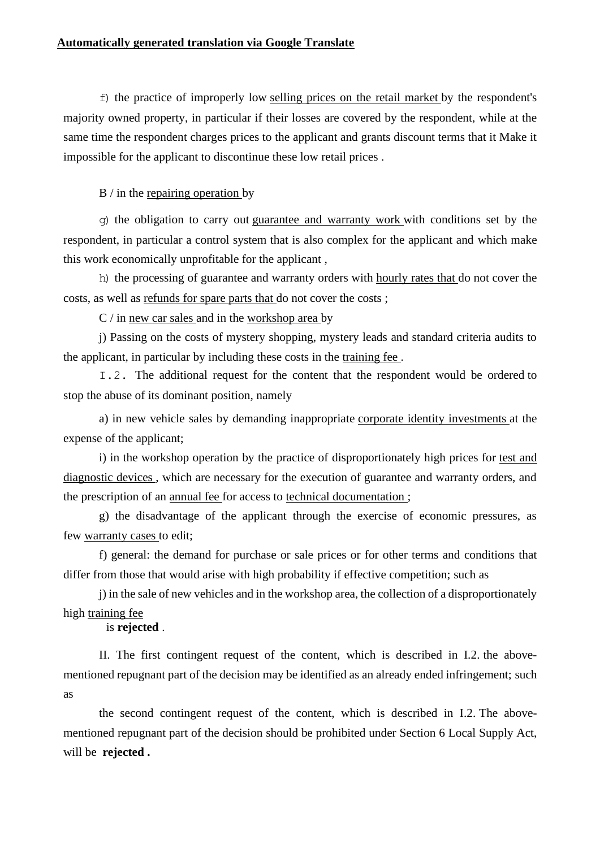f) the practice of improperly low selling prices on the retail market by the respondent's majority owned property, in particular if their losses are covered by the respondent, while at the same time the respondent charges prices to the applicant and grants discount terms that it Make it impossible for the applicant to discontinue these low retail prices .

B / in the repairing operation by

g) the obligation to carry out guarantee and warranty work with conditions set by the respondent, in particular a control system that is also complex for the applicant and which make this work economically unprofitable for the applicant ,

h) the processing of guarantee and warranty orders with hourly rates that do not cover the costs, as well as refunds for spare parts that do not cover the costs ;

C / in new car sales and in the workshop area by

j) Passing on the costs of mystery shopping, mystery leads and standard criteria audits to the applicant, in particular by including these costs in the training fee .

I.2. The additional request for the content that the respondent would be ordered to stop the abuse of its dominant position, namely

a) in new vehicle sales by demanding inappropriate corporate identity investments at the expense of the applicant;

i) in the workshop operation by the practice of disproportionately high prices for test and diagnostic devices , which are necessary for the execution of guarantee and warranty orders, and the prescription of an annual fee for access to technical documentation ;

g) the disadvantage of the applicant through the exercise of economic pressures, as few warranty cases to edit;

f) general: the demand for purchase or sale prices or for other terms and conditions that differ from those that would arise with high probability if effective competition; such as

j) in the sale of new vehicles and in the workshop area, the collection of a disproportionately high training fee

is **rejected** .

II. The first contingent request of the content, which is described in I.2. the abovementioned repugnant part of the decision may be identified as an already ended infringement; such as

the second contingent request of the content, which is described in I.2. The abovementioned repugnant part of the decision should be prohibited under Section 6 Local Supply Act, will be **rejected .**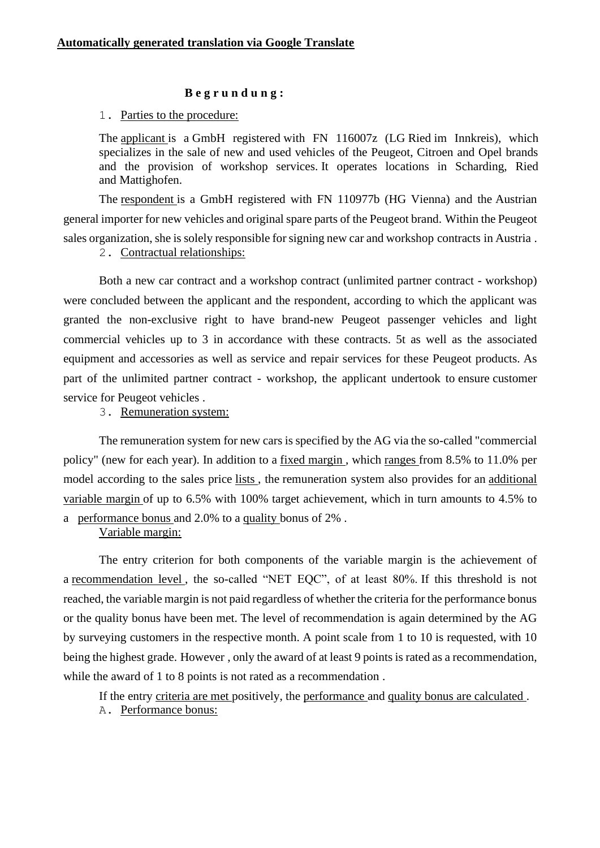### **B e g r u n d u n g :**

### 1. Parties to the procedure:

The applicant is a GmbH registered with FN 116007z (LG Ried im Innkreis), which specializes in the sale of new and used vehicles of the Peugeot, Citroen and Opel brands and the provision of workshop services. It operates locations in Scharding, Ried and Mattighofen.

The respondent is a GmbH registered with FN 110977b (HG Vienna) and the Austrian general importer for new vehicles and original spare parts of the Peugeot brand. Within the Peugeot sales organization, she is solely responsible for signing new car and workshop contracts in Austria .

# 2. Contractual relationships:

Both a new car contract and a workshop contract (unlimited partner contract - workshop) were concluded between the applicant and the respondent, according to which the applicant was granted the non-exclusive right to have brand-new Peugeot passenger vehicles and light commercial vehicles up to 3 in accordance with these contracts. 5t as well as the associated equipment and accessories as well as service and repair services for these Peugeot products. As part of the unlimited partner contract - workshop, the applicant undertook to ensure customer service for Peugeot vehicles .

3. Remuneration system:

The remuneration system for new cars is specified by the AG via the so-called "commercial policy" (new for each year). In addition to a fixed margin , which ranges from 8.5% to 11.0% per model according to the sales price lists , the remuneration system also provides for an additional variable margin of up to 6.5% with 100% target achievement, which in turn amounts to 4.5% to a performance bonus and 2.0% to a quality bonus of 2% .

Variable margin:

The entry criterion for both components of the variable margin is the achievement of a recommendation level, the so-called "NET EOC", of at least 80%. If this threshold is not reached, the variable margin is not paid regardless of whether the criteria for the performance bonus or the quality bonus have been met. The level of recommendation is again determined by the AG by surveying customers in the respective month. A point scale from 1 to 10 is requested, with 10 being the highest grade. However , only the award of at least 9 points is rated as a recommendation, while the award of 1 to 8 points is not rated as a recommendation.

If the entry criteria are met positively, the performance and quality bonus are calculated . A. Performance bonus: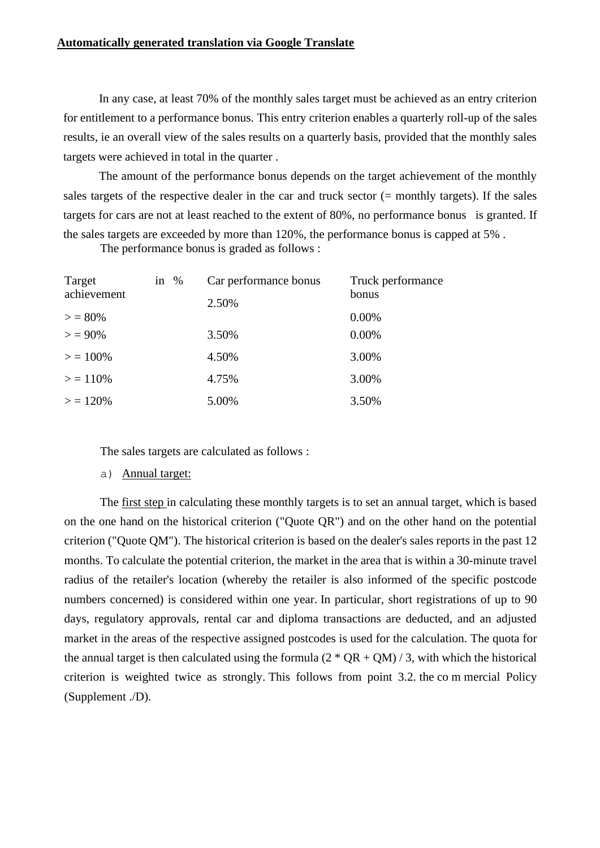### **Automatically generated translation via Google Translate**

In any case, at least 70% of the monthly sales target must be achieved as an entry criterion for entitlement to a performance bonus. This entry criterion enables a quarterly roll-up of the sales results, ie an overall view of the sales results on a quarterly basis, provided that the monthly sales targets were achieved in total in the quarter .

The amount of the performance bonus depends on the target achievement of the monthly sales targets of the respective dealer in the car and truck sector (= monthly targets). If the sales targets for cars are not at least reached to the extent of 80%, no performance bonus is granted. If the sales targets are exceeded by more than 120%, the performance bonus is capped at 5% .

The performance bonus is graded as follows :

| Target      | in $\%$ | Car performance bonus | Truck performance |
|-------------|---------|-----------------------|-------------------|
| achievement |         | 2.50%                 | bonus             |
| $>$ = 80%   |         |                       | 0.00%             |
| $> 90\%$    |         | 3.50%                 | 0.00%             |
| $> 100\%$   |         | 4.50%                 | 3.00%             |
| $>$ = 110%  |         | 4.75%                 | 3.00%             |
| $>$ = 120%  |         | 5.00%                 | 3.50%             |

The sales targets are calculated as follows :

a) Annual target:

The first step in calculating these monthly targets is to set an annual target, which is based on the one hand on the historical criterion ("Quote QR") and on the other hand on the potential criterion ("Quote QM"). The historical criterion is based on the dealer's sales reports in the past 12 months. To calculate the potential criterion, the market in the area that is within a 30-minute travel radius of the retailer's location (whereby the retailer is also informed of the specific postcode numbers concerned) is considered within one year. In particular, short registrations of up to 90 days, regulatory approvals, rental car and diploma transactions are deducted, and an adjusted market in the areas of the respective assigned postcodes is used for the calculation. The quota for the annual target is then calculated using the formula  $(2 * QR + QM) / 3$ , with which the historical criterion is weighted twice as strongly. This follows from point 3.2. the co m mercial Policy (Supplement ./D).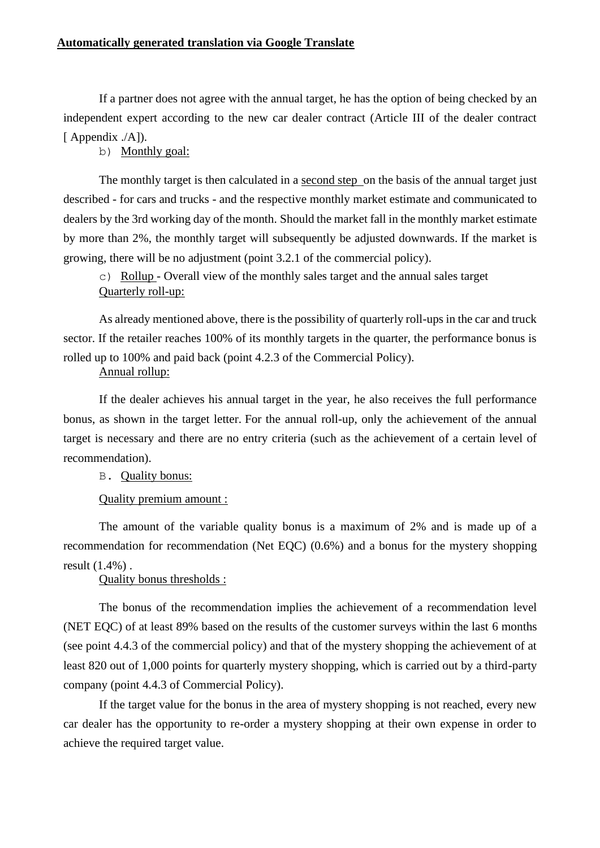If a partner does not agree with the annual target, he has the option of being checked by an independent expert according to the new car dealer contract (Article III of the dealer contract [ Appendix ./A]).

b) Monthly goal:

The monthly target is then calculated in a second step on the basis of the annual target just described - for cars and trucks - and the respective monthly market estimate and communicated to dealers by the 3rd working day of the month. Should the market fall in the monthly market estimate by more than 2%, the monthly target will subsequently be adjusted downwards. If the market is growing, there will be no adjustment (point 3.2.1 of the commercial policy).

c) Rollup - Overall view of the monthly sales target and the annual sales target Quarterly roll-up:

As already mentioned above, there is the possibility of quarterly roll-ups in the car and truck sector. If the retailer reaches 100% of its monthly targets in the quarter, the performance bonus is rolled up to 100% and paid back (point 4.2.3 of the Commercial Policy).

### Annual rollup:

If the dealer achieves his annual target in the year, he also receives the full performance bonus, as shown in the target letter. For the annual roll-up, only the achievement of the annual target is necessary and there are no entry criteria (such as the achievement of a certain level of recommendation).

B. Quality bonus:

Quality premium amount :

The amount of the variable quality bonus is a maximum of 2% and is made up of a recommendation for recommendation (Net EQC) (0.6%) and a bonus for the mystery shopping result (1.4%) .

Quality bonus thresholds :

The bonus of the recommendation implies the achievement of a recommendation level (NET EQC) of at least 89% based on the results of the customer surveys within the last 6 months (see point 4.4.3 of the commercial policy) and that of the mystery shopping the achievement of at least 820 out of 1,000 points for quarterly mystery shopping, which is carried out by a third-party company (point 4.4.3 of Commercial Policy).

If the target value for the bonus in the area of mystery shopping is not reached, every new car dealer has the opportunity to re-order a mystery shopping at their own expense in order to achieve the required target value.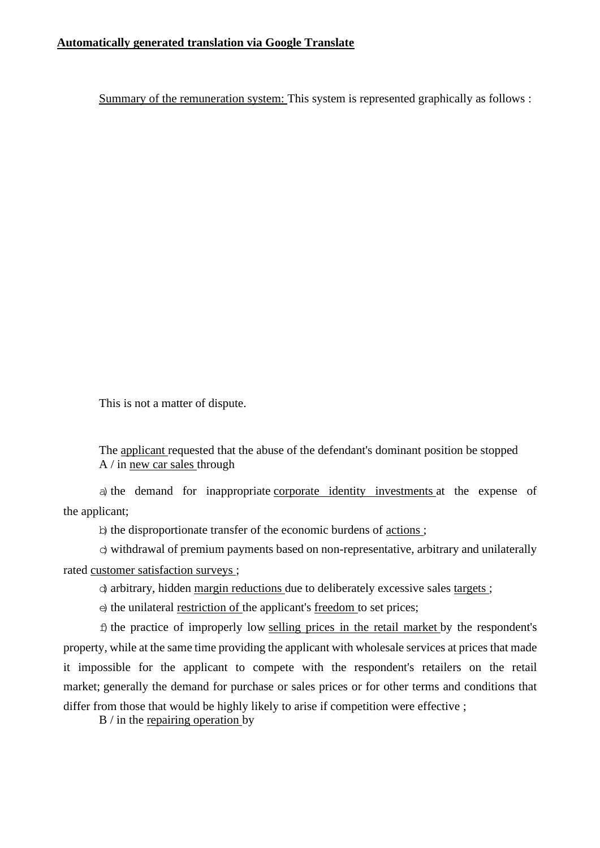Summary of the remuneration system: This system is represented graphically as follows :

This is not a matter of dispute.

The applicant requested that the abuse of the defendant's dominant position be stopped A / in new car sales through

a) the demand for inappropriate corporate identity investments at the expense of the applicant;

b) the disproportionate transfer of the economic burdens of actions;

 $\sigma$ ) withdrawal of premium payments based on non-representative, arbitrary and unilaterally rated customer satisfaction surveys ;

d)arbitrary, hidden margin reductions due to deliberately excessive sales targets ;

 $\epsilon$ ) the unilateral restriction of the applicant's freedom to set prices;

 $f$  the practice of improperly low selling prices in the retail market by the respondent's property, while at the same time providing the applicant with wholesale services at prices that made it impossible for the applicant to compete with the respondent's retailers on the retail market; generally the demand for purchase or sales prices or for other terms and conditions that differ from those that would be highly likely to arise if competition were effective ;

B / in the repairing operation by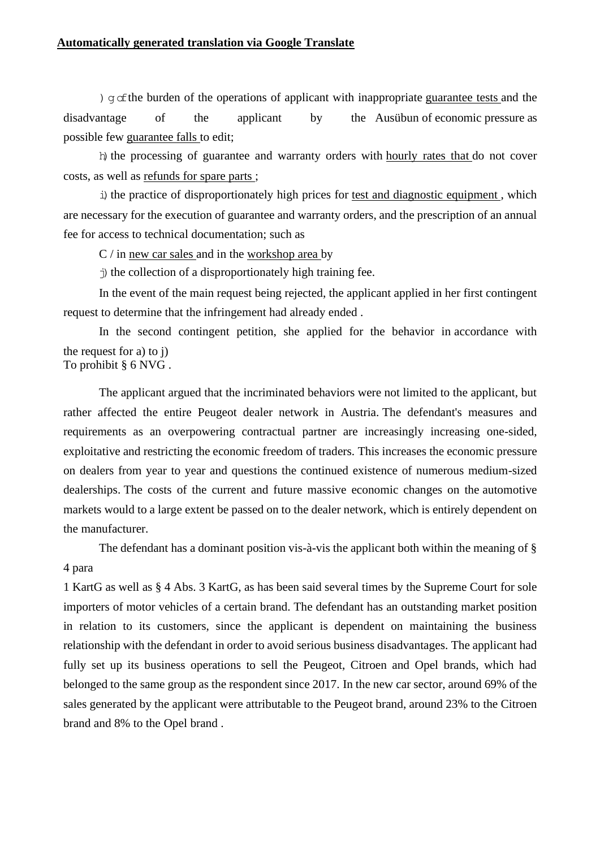)  $\alpha \in \mathbb{R}$  of the operations of applicant with inappropriate guarantee tests and the disadvantage of the applicant by the Ausübun of economic pressure as possible few guarantee falls to edit;

h) the processing of guarantee and warranty orders with hourly rates that do not cover costs, as well as refunds for spare parts ;

i) the practice of disproportionately high prices for test and diagnostic equipment, which are necessary for the execution of guarantee and warranty orders, and the prescription of an annual fee for access to technical documentation; such as

C / in new car sales and in the workshop area by

 $\dot{\eta}$ ) the collection of a disproportionately high training fee.

In the event of the main request being rejected, the applicant applied in her first contingent request to determine that the infringement had already ended .

In the second contingent petition, she applied for the behavior in accordance with the request for a) to j)

To prohibit § 6 NVG .

The applicant argued that the incriminated behaviors were not limited to the applicant, but rather affected the entire Peugeot dealer network in Austria. The defendant's measures and requirements as an overpowering contractual partner are increasingly increasing one-sided, exploitative and restricting the economic freedom of traders. This increases the economic pressure on dealers from year to year and questions the continued existence of numerous medium-sized dealerships. The costs of the current and future massive economic changes on the automotive markets would to a large extent be passed on to the dealer network, which is entirely dependent on the manufacturer.

The defendant has a dominant position vis-à-vis the applicant both within the meaning of § 4 para

1 KartG as well as § 4 Abs. 3 KartG, as has been said several times by the Supreme Court for sole importers of motor vehicles of a certain brand. The defendant has an outstanding market position in relation to its customers, since the applicant is dependent on maintaining the business relationship with the defendant in order to avoid serious business disadvantages. The applicant had fully set up its business operations to sell the Peugeot, Citroen and Opel brands, which had belonged to the same group as the respondent since 2017. In the new car sector, around 69% of the sales generated by the applicant were attributable to the Peugeot brand, around 23% to the Citroen brand and 8% to the Opel brand .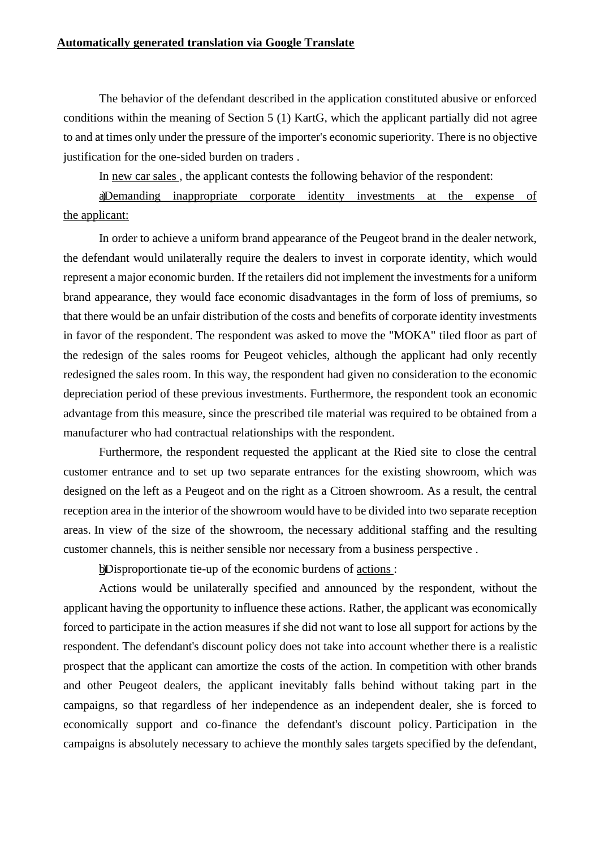The behavior of the defendant described in the application constituted abusive or enforced conditions within the meaning of Section 5 (1) KartG, which the applicant partially did not agree to and at times only under the pressure of the importer's economic superiority. There is no objective justification for the one-sided burden on traders .

In new car sales , the applicant contests the following behavior of the respondent:

a)Demanding inappropriate corporate identity investments at the expense of the applicant:

In order to achieve a uniform brand appearance of the Peugeot brand in the dealer network, the defendant would unilaterally require the dealers to invest in corporate identity, which would represent a major economic burden. If the retailers did not implement the investments for a uniform brand appearance, they would face economic disadvantages in the form of loss of premiums, so that there would be an unfair distribution of the costs and benefits of corporate identity investments in favor of the respondent. The respondent was asked to move the "MOKA" tiled floor as part of the redesign of the sales rooms for Peugeot vehicles, although the applicant had only recently redesigned the sales room. In this way, the respondent had given no consideration to the economic depreciation period of these previous investments. Furthermore, the respondent took an economic advantage from this measure, since the prescribed tile material was required to be obtained from a manufacturer who had contractual relationships with the respondent.

Furthermore, the respondent requested the applicant at the Ried site to close the central customer entrance and to set up two separate entrances for the existing showroom, which was designed on the left as a Peugeot and on the right as a Citroen showroom. As a result, the central reception area in the interior of the showroom would have to be divided into two separate reception areas. In view of the size of the showroom, the necessary additional staffing and the resulting customer channels, this is neither sensible nor necessary from a business perspective .

b)Disproportionate tie-up of the economic burdens of actions :

Actions would be unilaterally specified and announced by the respondent, without the applicant having the opportunity to influence these actions. Rather, the applicant was economically forced to participate in the action measures if she did not want to lose all support for actions by the respondent. The defendant's discount policy does not take into account whether there is a realistic prospect that the applicant can amortize the costs of the action. In competition with other brands and other Peugeot dealers, the applicant inevitably falls behind without taking part in the campaigns, so that regardless of her independence as an independent dealer, she is forced to economically support and co-finance the defendant's discount policy. Participation in the campaigns is absolutely necessary to achieve the monthly sales targets specified by the defendant,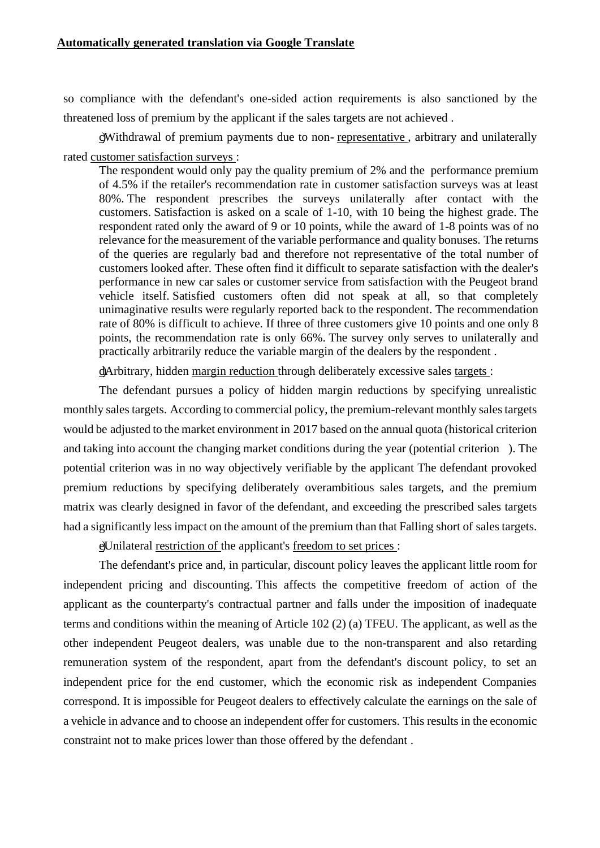so compliance with the defendant's one-sided action requirements is also sanctioned by the threatened loss of premium by the applicant if the sales targets are not achieved .

c)Withdrawal of premium payments due to non- representative , arbitrary and unilaterally rated customer satisfaction surveys :

The respondent would only pay the quality premium of 2% and the performance premium of 4.5% if the retailer's recommendation rate in customer satisfaction surveys was at least 80%. The respondent prescribes the surveys unilaterally after contact with the customers. Satisfaction is asked on a scale of 1-10, with 10 being the highest grade. The respondent rated only the award of 9 or 10 points, while the award of 1-8 points was of no relevance for the measurement of the variable performance and quality bonuses. The returns of the queries are regularly bad and therefore not representative of the total number of customers looked after. These often find it difficult to separate satisfaction with the dealer's performance in new car sales or customer service from satisfaction with the Peugeot brand vehicle itself. Satisfied customers often did not speak at all, so that completely unimaginative results were regularly reported back to the respondent. The recommendation rate of 80% is difficult to achieve. If three of three customers give 10 points and one only 8 points, the recommendation rate is only 66%. The survey only serves to unilaterally and practically arbitrarily reduce the variable margin of the dealers by the respondent .

d)Arbitrary, hidden margin reduction through deliberately excessive sales targets :

The defendant pursues a policy of hidden margin reductions by specifying unrealistic monthly sales targets. According to commercial policy, the premium-relevant monthly sales targets would be adjusted to the market environment in 2017 based on the annual quota (historical criterion and taking into account the changing market conditions during the year (potential criterion ). The potential criterion was in no way objectively verifiable by the applicant The defendant provoked premium reductions by specifying deliberately overambitious sales targets, and the premium matrix was clearly designed in favor of the defendant, and exceeding the prescribed sales targets had a significantly less impact on the amount of the premium than that Falling short of sales targets.

e)Unilateral restriction of the applicant's freedom to set prices :

The defendant's price and, in particular, discount policy leaves the applicant little room for independent pricing and discounting. This affects the competitive freedom of action of the applicant as the counterparty's contractual partner and falls under the imposition of inadequate terms and conditions within the meaning of Article 102 (2) (a) TFEU. The applicant, as well as the other independent Peugeot dealers, was unable due to the non-transparent and also retarding remuneration system of the respondent, apart from the defendant's discount policy, to set an independent price for the end customer, which the economic risk as independent Companies correspond. It is impossible for Peugeot dealers to effectively calculate the earnings on the sale of a vehicle in advance and to choose an independent offer for customers. This results in the economic constraint not to make prices lower than those offered by the defendant .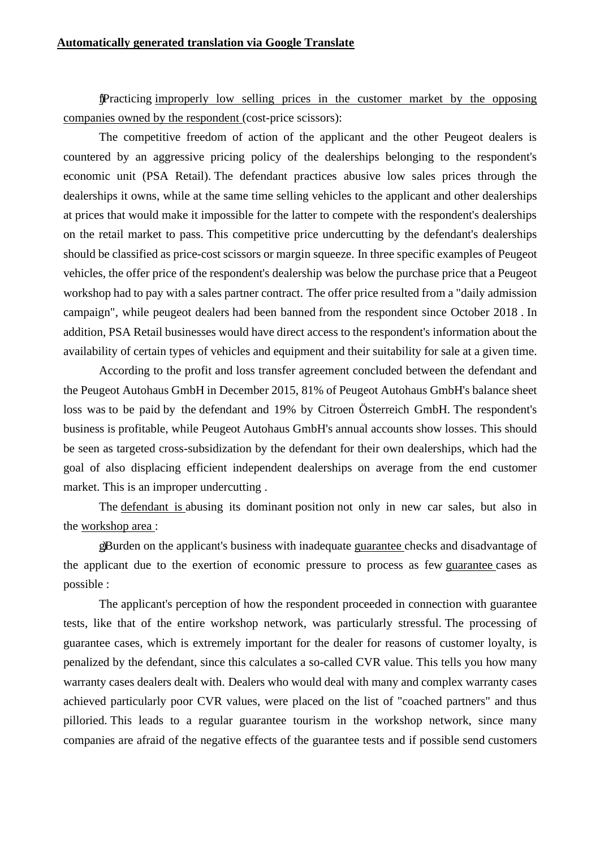f)Practicing improperly low selling prices in the customer market by the opposing companies owned by the respondent (cost-price scissors):

The competitive freedom of action of the applicant and the other Peugeot dealers is countered by an aggressive pricing policy of the dealerships belonging to the respondent's economic unit (PSA Retail). The defendant practices abusive low sales prices through the dealerships it owns, while at the same time selling vehicles to the applicant and other dealerships at prices that would make it impossible for the latter to compete with the respondent's dealerships on the retail market to pass. This competitive price undercutting by the defendant's dealerships should be classified as price-cost scissors or margin squeeze. In three specific examples of Peugeot vehicles, the offer price of the respondent's dealership was below the purchase price that a Peugeot workshop had to pay with a sales partner contract. The offer price resulted from a "daily admission campaign", while peugeot dealers had been banned from the respondent since October 2018 . In addition, PSA Retail businesses would have direct access to the respondent's information about the availability of certain types of vehicles and equipment and their suitability for sale at a given time.

According to the profit and loss transfer agreement concluded between the defendant and the Peugeot Autohaus GmbH in December 2015, 81% of Peugeot Autohaus GmbH's balance sheet loss was to be paid by the defendant and 19% by Citroen Österreich GmbH. The respondent's business is profitable, while Peugeot Autohaus GmbH's annual accounts show losses. This should be seen as targeted cross-subsidization by the defendant for their own dealerships, which had the goal of also displacing efficient independent dealerships on average from the end customer market. This is an improper undercutting .

The defendant is abusing its dominant position not only in new car sales, but also in the workshop area :

g)Burden on the applicant's business with inadequate guarantee checks and disadvantage of the applicant due to the exertion of economic pressure to process as few guarantee cases as possible :

The applicant's perception of how the respondent proceeded in connection with guarantee tests, like that of the entire workshop network, was particularly stressful. The processing of guarantee cases, which is extremely important for the dealer for reasons of customer loyalty, is penalized by the defendant, since this calculates a so-called CVR value. This tells you how many warranty cases dealers dealt with. Dealers who would deal with many and complex warranty cases achieved particularly poor CVR values, were placed on the list of "coached partners" and thus pilloried. This leads to a regular guarantee tourism in the workshop network, since many companies are afraid of the negative effects of the guarantee tests and if possible send customers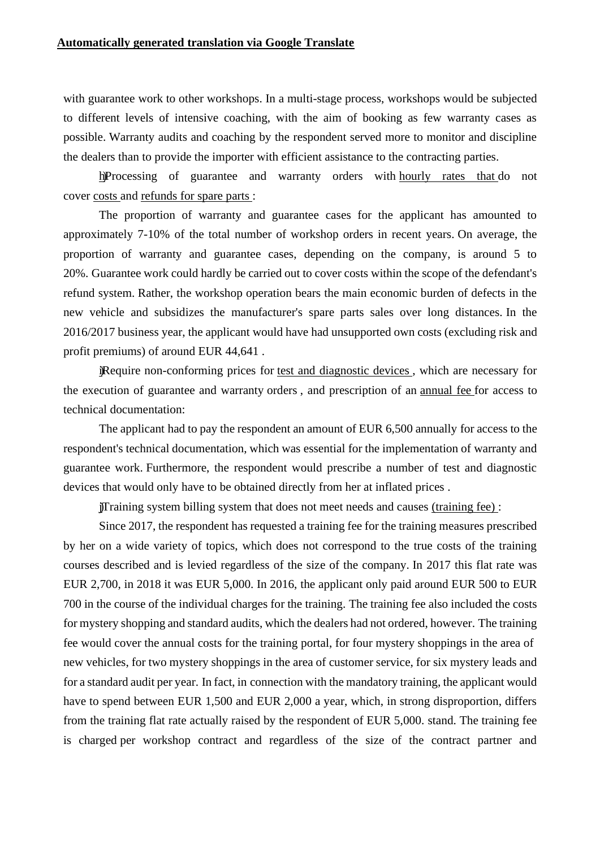with guarantee work to other workshops. In a multi-stage process, workshops would be subjected to different levels of intensive coaching, with the aim of booking as few warranty cases as possible. Warranty audits and coaching by the respondent served more to monitor and discipline the dealers than to provide the importer with efficient assistance to the contracting parties.

h)Processing of guarantee and warranty orders with hourly rates that do not cover costs and refunds for spare parts :

The proportion of warranty and guarantee cases for the applicant has amounted to approximately 7-10% of the total number of workshop orders in recent years. On average, the proportion of warranty and guarantee cases, depending on the company, is around 5 to 20%. Guarantee work could hardly be carried out to cover costs within the scope of the defendant's refund system. Rather, the workshop operation bears the main economic burden of defects in the new vehicle and subsidizes the manufacturer's spare parts sales over long distances. In the 2016/2017 business year, the applicant would have had unsupported own costs (excluding risk and profit premiums) of around EUR 44,641 .

i)Require non-conforming prices for test and diagnostic devices , which are necessary for the execution of guarantee and warranty orders , and prescription of an annual fee for access to technical documentation:

The applicant had to pay the respondent an amount of EUR 6,500 annually for access to the respondent's technical documentation, which was essential for the implementation of warranty and guarantee work. Furthermore, the respondent would prescribe a number of test and diagnostic devices that would only have to be obtained directly from her at inflated prices .

j)Training system billing system that does not meet needs and causes (training fee) :

Since 2017, the respondent has requested a training fee for the training measures prescribed by her on a wide variety of topics, which does not correspond to the true costs of the training courses described and is levied regardless of the size of the company. In 2017 this flat rate was EUR 2,700, in 2018 it was EUR 5,000. In 2016, the applicant only paid around EUR 500 to EUR 700 in the course of the individual charges for the training. The training fee also included the costs for mystery shopping and standard audits, which the dealers had not ordered, however. The training fee would cover the annual costs for the training portal, for four mystery shoppings in the area of new vehicles, for two mystery shoppings in the area of customer service, for six mystery leads and for a standard audit per year. In fact, in connection with the mandatory training, the applicant would have to spend between EUR 1,500 and EUR 2,000 a year, which, in strong disproportion, differs from the training flat rate actually raised by the respondent of EUR 5,000. stand. The training fee is charged per workshop contract and regardless of the size of the contract partner and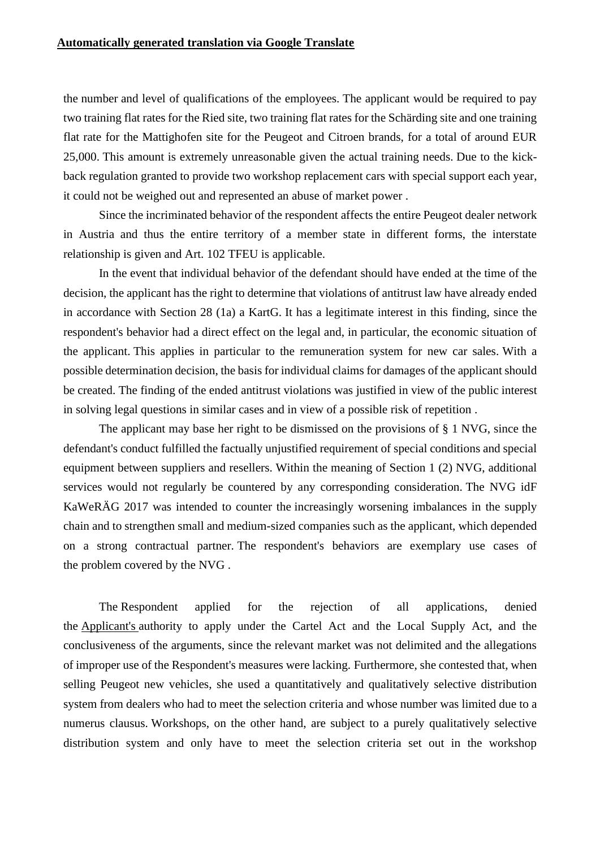the number and level of qualifications of the employees. The applicant would be required to pay two training flat rates for the Ried site, two training flat rates for the Schärding site and one training flat rate for the Mattighofen site for the Peugeot and Citroen brands, for a total of around EUR 25,000. This amount is extremely unreasonable given the actual training needs. Due to the kickback regulation granted to provide two workshop replacement cars with special support each year, it could not be weighed out and represented an abuse of market power .

Since the incriminated behavior of the respondent affects the entire Peugeot dealer network in Austria and thus the entire territory of a member state in different forms, the interstate relationship is given and Art. 102 TFEU is applicable.

In the event that individual behavior of the defendant should have ended at the time of the decision, the applicant has the right to determine that violations of antitrust law have already ended in accordance with Section 28 (1a) a KartG. It has a legitimate interest in this finding, since the respondent's behavior had a direct effect on the legal and, in particular, the economic situation of the applicant. This applies in particular to the remuneration system for new car sales. With a possible determination decision, the basis for individual claims for damages of the applicant should be created. The finding of the ended antitrust violations was justified in view of the public interest in solving legal questions in similar cases and in view of a possible risk of repetition .

The applicant may base her right to be dismissed on the provisions of § 1 NVG, since the defendant's conduct fulfilled the factually unjustified requirement of special conditions and special equipment between suppliers and resellers. Within the meaning of Section 1 (2) NVG, additional services would not regularly be countered by any corresponding consideration. The NVG idF KaWeRÄG 2017 was intended to counter the increasingly worsening imbalances in the supply chain and to strengthen small and medium-sized companies such as the applicant, which depended on a strong contractual partner. The respondent's behaviors are exemplary use cases of the problem covered by the NVG .

The Respondent applied for the rejection of all applications, denied the Applicant's authority to apply under the Cartel Act and the Local Supply Act, and the conclusiveness of the arguments, since the relevant market was not delimited and the allegations of improper use of the Respondent's measures were lacking. Furthermore, she contested that, when selling Peugeot new vehicles, she used a quantitatively and qualitatively selective distribution system from dealers who had to meet the selection criteria and whose number was limited due to a numerus clausus. Workshops, on the other hand, are subject to a purely qualitatively selective distribution system and only have to meet the selection criteria set out in the workshop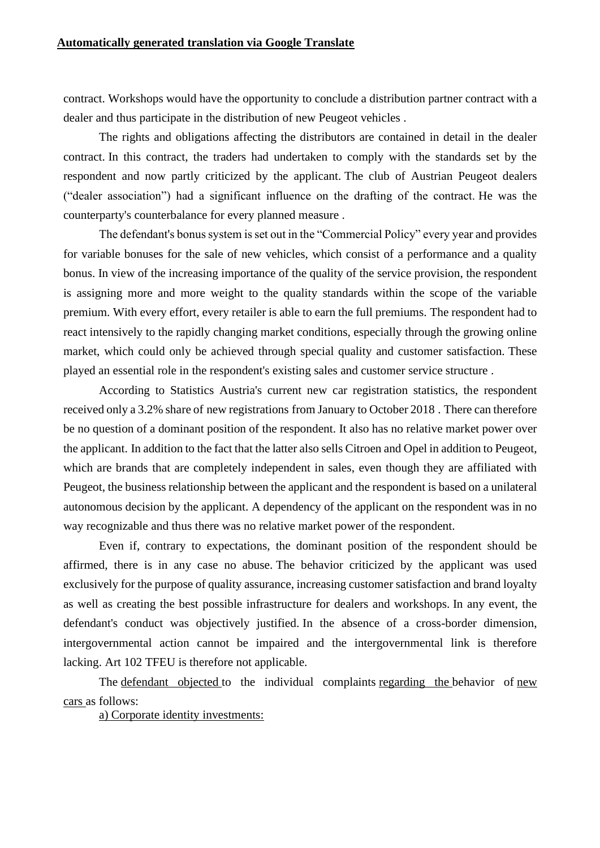contract. Workshops would have the opportunity to conclude a distribution partner contract with a dealer and thus participate in the distribution of new Peugeot vehicles .

The rights and obligations affecting the distributors are contained in detail in the dealer contract. In this contract, the traders had undertaken to comply with the standards set by the respondent and now partly criticized by the applicant. The club of Austrian Peugeot dealers ("dealer association") had a significant influence on the drafting of the contract. He was the counterparty's counterbalance for every planned measure .

The defendant's bonus system is set out in the "Commercial Policy" every year and provides for variable bonuses for the sale of new vehicles, which consist of a performance and a quality bonus. In view of the increasing importance of the quality of the service provision, the respondent is assigning more and more weight to the quality standards within the scope of the variable premium. With every effort, every retailer is able to earn the full premiums. The respondent had to react intensively to the rapidly changing market conditions, especially through the growing online market, which could only be achieved through special quality and customer satisfaction. These played an essential role in the respondent's existing sales and customer service structure .

According to Statistics Austria's current new car registration statistics, the respondent received only a 3.2% share of new registrations from January to October 2018 . There can therefore be no question of a dominant position of the respondent. It also has no relative market power over the applicant. In addition to the fact that the latter also sells Citroen and Opel in addition to Peugeot, which are brands that are completely independent in sales, even though they are affiliated with Peugeot, the business relationship between the applicant and the respondent is based on a unilateral autonomous decision by the applicant. A dependency of the applicant on the respondent was in no way recognizable and thus there was no relative market power of the respondent.

Even if, contrary to expectations, the dominant position of the respondent should be affirmed, there is in any case no abuse. The behavior criticized by the applicant was used exclusively for the purpose of quality assurance, increasing customer satisfaction and brand loyalty as well as creating the best possible infrastructure for dealers and workshops. In any event, the defendant's conduct was objectively justified. In the absence of a cross-border dimension, intergovernmental action cannot be impaired and the intergovernmental link is therefore lacking. Art 102 TFEU is therefore not applicable.

The defendant objected to the individual complaints regarding the behavior of new cars as follows:

a) Corporate identity investments: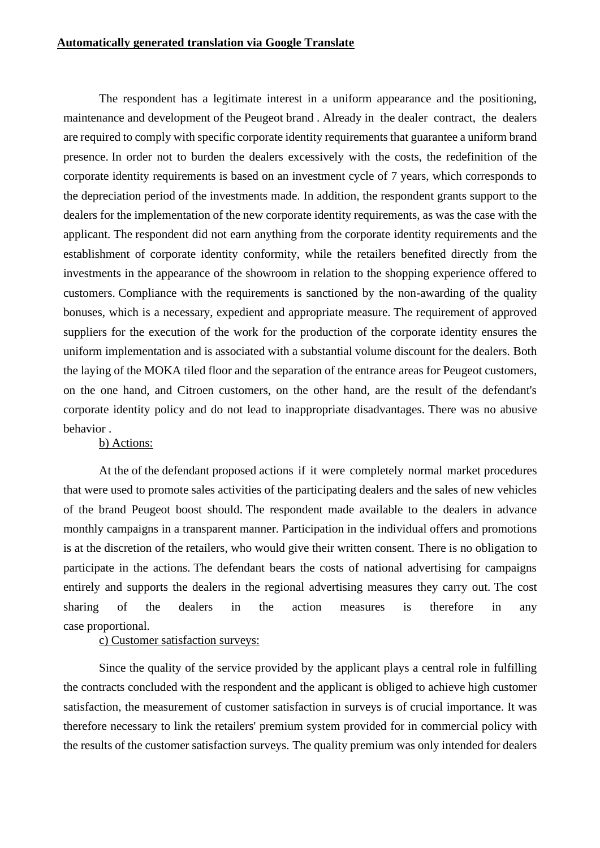The respondent has a legitimate interest in a uniform appearance and the positioning, maintenance and development of the Peugeot brand . Already in the dealer contract, the dealers are required to comply with specific corporate identity requirements that guarantee a uniform brand presence. In order not to burden the dealers excessively with the costs, the redefinition of the corporate identity requirements is based on an investment cycle of 7 years, which corresponds to the depreciation period of the investments made. In addition, the respondent grants support to the dealers for the implementation of the new corporate identity requirements, as was the case with the applicant. The respondent did not earn anything from the corporate identity requirements and the establishment of corporate identity conformity, while the retailers benefited directly from the investments in the appearance of the showroom in relation to the shopping experience offered to customers. Compliance with the requirements is sanctioned by the non-awarding of the quality bonuses, which is a necessary, expedient and appropriate measure. The requirement of approved suppliers for the execution of the work for the production of the corporate identity ensures the uniform implementation and is associated with a substantial volume discount for the dealers. Both the laying of the MOKA tiled floor and the separation of the entrance areas for Peugeot customers, on the one hand, and Citroen customers, on the other hand, are the result of the defendant's corporate identity policy and do not lead to inappropriate disadvantages. There was no abusive behavior .

#### b) Actions:

At the of the defendant proposed actions if it were completely normal market procedures that were used to promote sales activities of the participating dealers and the sales of new vehicles of the brand Peugeot boost should. The respondent made available to the dealers in advance monthly campaigns in a transparent manner. Participation in the individual offers and promotions is at the discretion of the retailers, who would give their written consent. There is no obligation to participate in the actions. The defendant bears the costs of national advertising for campaigns entirely and supports the dealers in the regional advertising measures they carry out. The cost sharing of the dealers in the action measures is therefore in any case proportional.

### c) Customer satisfaction surveys:

Since the quality of the service provided by the applicant plays a central role in fulfilling the contracts concluded with the respondent and the applicant is obliged to achieve high customer satisfaction, the measurement of customer satisfaction in surveys is of crucial importance. It was therefore necessary to link the retailers' premium system provided for in commercial policy with the results of the customer satisfaction surveys. The quality premium was only intended for dealers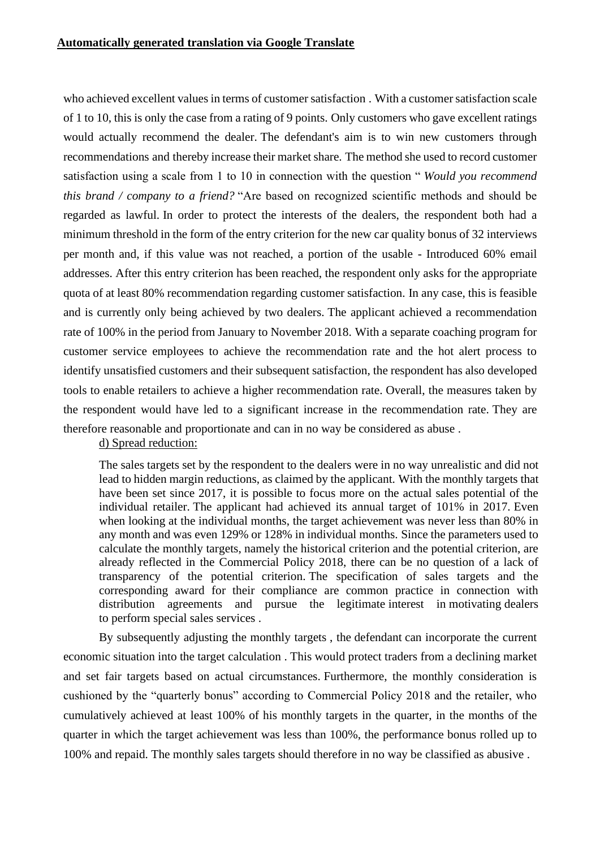who achieved excellent values in terms of customer satisfaction . With a customer satisfaction scale of 1 to 10, this is only the case from a rating of 9 points. Only customers who gave excellent ratings would actually recommend the dealer. The defendant's aim is to win new customers through recommendations and thereby increase their market share. The method she used to record customer satisfaction using a scale from 1 to 10 in connection with the question " *Would you recommend this brand / company to a friend?* "Are based on recognized scientific methods and should be regarded as lawful. In order to protect the interests of the dealers, the respondent both had a minimum threshold in the form of the entry criterion for the new car quality bonus of 32 interviews per month and, if this value was not reached, a portion of the usable - Introduced 60% email addresses. After this entry criterion has been reached, the respondent only asks for the appropriate quota of at least 80% recommendation regarding customer satisfaction. In any case, this is feasible and is currently only being achieved by two dealers. The applicant achieved a recommendation rate of 100% in the period from January to November 2018. With a separate coaching program for customer service employees to achieve the recommendation rate and the hot alert process to identify unsatisfied customers and their subsequent satisfaction, the respondent has also developed tools to enable retailers to achieve a higher recommendation rate. Overall, the measures taken by the respondent would have led to a significant increase in the recommendation rate. They are therefore reasonable and proportionate and can in no way be considered as abuse .

d) Spread reduction:

The sales targets set by the respondent to the dealers were in no way unrealistic and did not lead to hidden margin reductions, as claimed by the applicant. With the monthly targets that have been set since 2017, it is possible to focus more on the actual sales potential of the individual retailer. The applicant had achieved its annual target of 101% in 2017. Even when looking at the individual months, the target achievement was never less than 80% in any month and was even 129% or 128% in individual months. Since the parameters used to calculate the monthly targets, namely the historical criterion and the potential criterion, are already reflected in the Commercial Policy 2018, there can be no question of a lack of transparency of the potential criterion. The specification of sales targets and the corresponding award for their compliance are common practice in connection with distribution agreements and pursue the legitimate interest in motivating dealers to perform special sales services .

By subsequently adjusting the monthly targets , the defendant can incorporate the current economic situation into the target calculation . This would protect traders from a declining market and set fair targets based on actual circumstances. Furthermore, the monthly consideration is cushioned by the "quarterly bonus" according to Commercial Policy 2018 and the retailer, who cumulatively achieved at least 100% of his monthly targets in the quarter, in the months of the quarter in which the target achievement was less than 100%, the performance bonus rolled up to 100% and repaid. The monthly sales targets should therefore in no way be classified as abusive .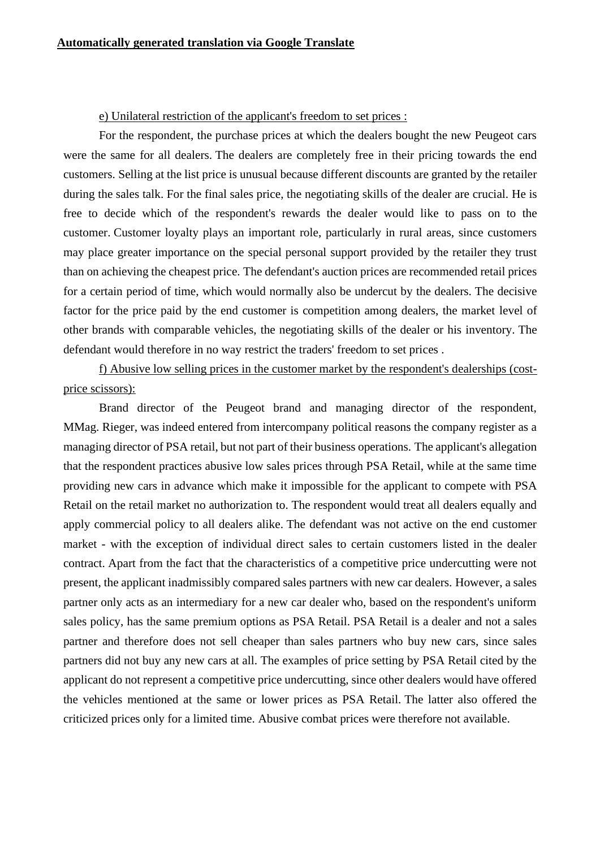#### e) Unilateral restriction of the applicant's freedom to set prices :

For the respondent, the purchase prices at which the dealers bought the new Peugeot cars were the same for all dealers. The dealers are completely free in their pricing towards the end customers. Selling at the list price is unusual because different discounts are granted by the retailer during the sales talk. For the final sales price, the negotiating skills of the dealer are crucial. He is free to decide which of the respondent's rewards the dealer would like to pass on to the customer. Customer loyalty plays an important role, particularly in rural areas, since customers may place greater importance on the special personal support provided by the retailer they trust than on achieving the cheapest price. The defendant's auction prices are recommended retail prices for a certain period of time, which would normally also be undercut by the dealers. The decisive factor for the price paid by the end customer is competition among dealers, the market level of other brands with comparable vehicles, the negotiating skills of the dealer or his inventory. The defendant would therefore in no way restrict the traders' freedom to set prices .

f) Abusive low selling prices in the customer market by the respondent's dealerships (costprice scissors):

Brand director of the Peugeot brand and managing director of the respondent, MMag. Rieger, was indeed entered from intercompany political reasons the company register as a managing director of PSA retail, but not part of their business operations. The applicant's allegation that the respondent practices abusive low sales prices through PSA Retail, while at the same time providing new cars in advance which make it impossible for the applicant to compete with PSA Retail on the retail market no authorization to. The respondent would treat all dealers equally and apply commercial policy to all dealers alike. The defendant was not active on the end customer market - with the exception of individual direct sales to certain customers listed in the dealer contract. Apart from the fact that the characteristics of a competitive price undercutting were not present, the applicant inadmissibly compared sales partners with new car dealers. However, a sales partner only acts as an intermediary for a new car dealer who, based on the respondent's uniform sales policy, has the same premium options as PSA Retail. PSA Retail is a dealer and not a sales partner and therefore does not sell cheaper than sales partners who buy new cars, since sales partners did not buy any new cars at all. The examples of price setting by PSA Retail cited by the applicant do not represent a competitive price undercutting, since other dealers would have offered the vehicles mentioned at the same or lower prices as PSA Retail. The latter also offered the criticized prices only for a limited time. Abusive combat prices were therefore not available.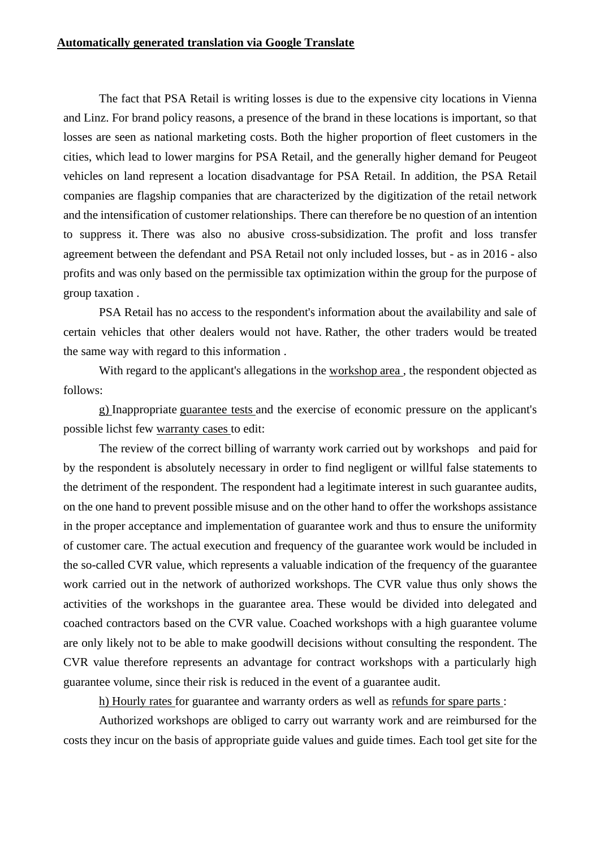The fact that PSA Retail is writing losses is due to the expensive city locations in Vienna and Linz. For brand policy reasons, a presence of the brand in these locations is important, so that losses are seen as national marketing costs. Both the higher proportion of fleet customers in the cities, which lead to lower margins for PSA Retail, and the generally higher demand for Peugeot vehicles on land represent a location disadvantage for PSA Retail. In addition, the PSA Retail companies are flagship companies that are characterized by the digitization of the retail network and the intensification of customer relationships. There can therefore be no question of an intention to suppress it. There was also no abusive cross-subsidization. The profit and loss transfer agreement between the defendant and PSA Retail not only included losses, but - as in 2016 - also profits and was only based on the permissible tax optimization within the group for the purpose of group taxation .

PSA Retail has no access to the respondent's information about the availability and sale of certain vehicles that other dealers would not have. Rather, the other traders would be treated the same way with regard to this information .

With regard to the applicant's allegations in the workshop area , the respondent objected as follows:

g) Inappropriate guarantee tests and the exercise of economic pressure on the applicant's possible lichst few warranty cases to edit:

The review of the correct billing of warranty work carried out by workshops and paid for by the respondent is absolutely necessary in order to find negligent or willful false statements to the detriment of the respondent. The respondent had a legitimate interest in such guarantee audits, on the one hand to prevent possible misuse and on the other hand to offer the workshops assistance in the proper acceptance and implementation of guarantee work and thus to ensure the uniformity of customer care. The actual execution and frequency of the guarantee work would be included in the so-called CVR value, which represents a valuable indication of the frequency of the guarantee work carried out in the network of authorized workshops. The CVR value thus only shows the activities of the workshops in the guarantee area. These would be divided into delegated and coached contractors based on the CVR value. Coached workshops with a high guarantee volume are only likely not to be able to make goodwill decisions without consulting the respondent. The CVR value therefore represents an advantage for contract workshops with a particularly high guarantee volume, since their risk is reduced in the event of a guarantee audit.

h) Hourly rates for guarantee and warranty orders as well as refunds for spare parts :

Authorized workshops are obliged to carry out warranty work and are reimbursed for the costs they incur on the basis of appropriate guide values and guide times. Each tool get site for the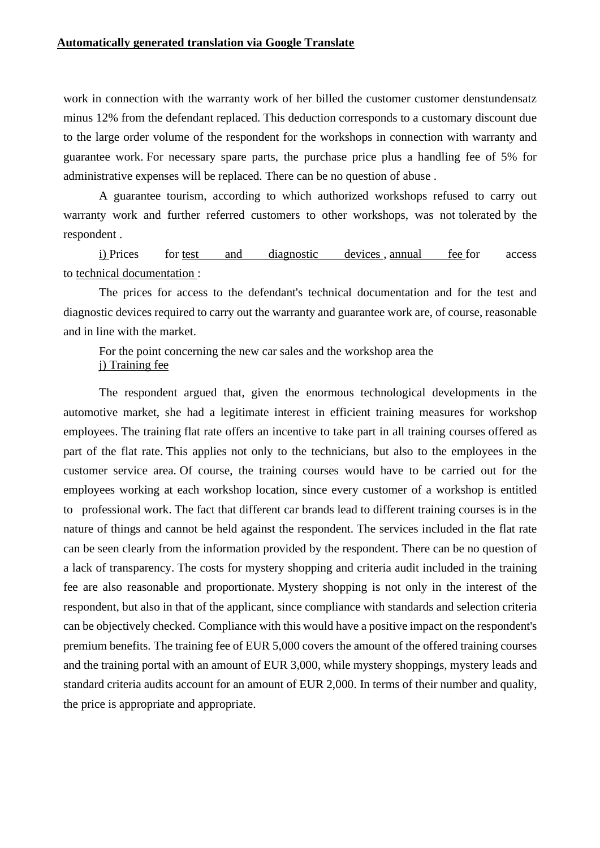work in connection with the warranty work of her billed the customer customer denstundensatz minus 12% from the defendant replaced. This deduction corresponds to a customary discount due to the large order volume of the respondent for the workshops in connection with warranty and guarantee work. For necessary spare parts, the purchase price plus a handling fee of 5% for administrative expenses will be replaced. There can be no question of abuse .

A guarantee tourism, according to which authorized workshops refused to carry out warranty work and further referred customers to other workshops, was not tolerated by the respondent .

i) Prices for test and diagnostic devices , annual fee for access to technical documentation :

The prices for access to the defendant's technical documentation and for the test and diagnostic devices required to carry out the warranty and guarantee work are, of course, reasonable and in line with the market.

For the point concerning the new car sales and the workshop area the j) Training fee

The respondent argued that, given the enormous technological developments in the automotive market, she had a legitimate interest in efficient training measures for workshop employees. The training flat rate offers an incentive to take part in all training courses offered as part of the flat rate. This applies not only to the technicians, but also to the employees in the customer service area. Of course, the training courses would have to be carried out for the employees working at each workshop location, since every customer of a workshop is entitled to professional work. The fact that different car brands lead to different training courses is in the nature of things and cannot be held against the respondent. The services included in the flat rate can be seen clearly from the information provided by the respondent. There can be no question of a lack of transparency. The costs for mystery shopping and criteria audit included in the training fee are also reasonable and proportionate. Mystery shopping is not only in the interest of the respondent, but also in that of the applicant, since compliance with standards and selection criteria can be objectively checked. Compliance with this would have a positive impact on the respondent's premium benefits. The training fee of EUR 5,000 covers the amount of the offered training courses and the training portal with an amount of EUR 3,000, while mystery shoppings, mystery leads and standard criteria audits account for an amount of EUR 2,000. In terms of their number and quality, the price is appropriate and appropriate.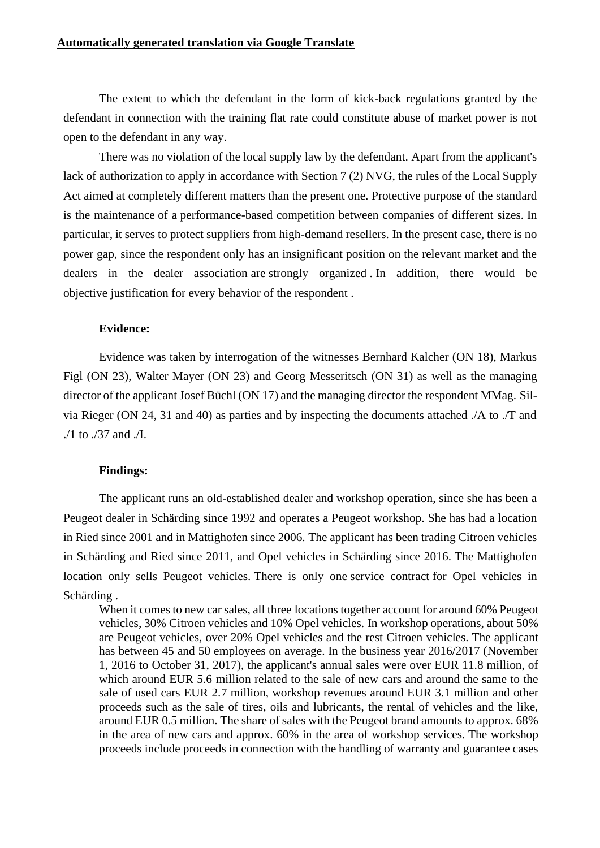The extent to which the defendant in the form of kick-back regulations granted by the defendant in connection with the training flat rate could constitute abuse of market power is not open to the defendant in any way.

There was no violation of the local supply law by the defendant. Apart from the applicant's lack of authorization to apply in accordance with Section 7 (2) NVG, the rules of the Local Supply Act aimed at completely different matters than the present one. Protective purpose of the standard is the maintenance of a performance-based competition between companies of different sizes. In particular, it serves to protect suppliers from high-demand resellers. In the present case, there is no power gap, since the respondent only has an insignificant position on the relevant market and the dealers in the dealer association are strongly organized . In addition, there would be objective justification for every behavior of the respondent .

#### **Evidence:**

Evidence was taken by interrogation of the witnesses Bernhard Kalcher (ON 18), Markus Figl (ON 23), Walter Mayer (ON 23) and Georg Messeritsch (ON 31) as well as the managing director of the applicant Josef Büchl (ON 17) and the managing director the respondent MMag. Silvia Rieger (ON 24, 31 and 40) as parties and by inspecting the documents attached ./A to ./T and ./1 to ./37 and ./I.

#### **Findings:**

The applicant runs an old-established dealer and workshop operation, since she has been a Peugeot dealer in Schärding since 1992 and operates a Peugeot workshop. She has had a location in Ried since 2001 and in Mattighofen since 2006. The applicant has been trading Citroen vehicles in Schärding and Ried since 2011, and Opel vehicles in Schärding since 2016. The Mattighofen location only sells Peugeot vehicles. There is only one service contract for Opel vehicles in Schärding .

When it comes to new car sales, all three locations together account for around 60% Peugeot vehicles, 30% Citroen vehicles and 10% Opel vehicles. In workshop operations, about 50% are Peugeot vehicles, over 20% Opel vehicles and the rest Citroen vehicles. The applicant has between 45 and 50 employees on average. In the business year 2016/2017 (November 1, 2016 to October 31, 2017), the applicant's annual sales were over EUR 11.8 million, of which around EUR 5.6 million related to the sale of new cars and around the same to the sale of used cars EUR 2.7 million, workshop revenues around EUR 3.1 million and other proceeds such as the sale of tires, oils and lubricants, the rental of vehicles and the like, around EUR 0.5 million. The share of sales with the Peugeot brand amounts to approx. 68% in the area of new cars and approx. 60% in the area of workshop services. The workshop proceeds include proceeds in connection with the handling of warranty and guarantee cases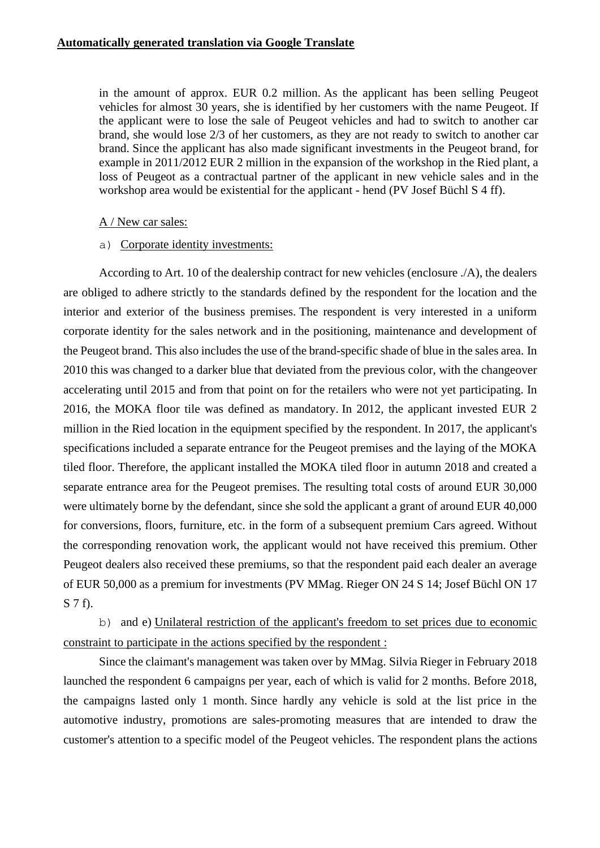in the amount of approx. EUR 0.2 million. As the applicant has been selling Peugeot vehicles for almost 30 years, she is identified by her customers with the name Peugeot. If the applicant were to lose the sale of Peugeot vehicles and had to switch to another car brand, she would lose 2/3 of her customers, as they are not ready to switch to another car brand. Since the applicant has also made significant investments in the Peugeot brand, for example in 2011/2012 EUR 2 million in the expansion of the workshop in the Ried plant, a loss of Peugeot as a contractual partner of the applicant in new vehicle sales and in the workshop area would be existential for the applicant - hend (PV Josef Büchl S 4 ff).

### A / New car sales:

### a) Corporate identity investments:

According to Art. 10 of the dealership contract for new vehicles (enclosure ./A), the dealers are obliged to adhere strictly to the standards defined by the respondent for the location and the interior and exterior of the business premises. The respondent is very interested in a uniform corporate identity for the sales network and in the positioning, maintenance and development of the Peugeot brand. This also includes the use of the brand-specific shade of blue in the sales area. In 2010 this was changed to a darker blue that deviated from the previous color, with the changeover accelerating until 2015 and from that point on for the retailers who were not yet participating. In 2016, the MOKA floor tile was defined as mandatory. In 2012, the applicant invested EUR 2 million in the Ried location in the equipment specified by the respondent. In 2017, the applicant's specifications included a separate entrance for the Peugeot premises and the laying of the MOKA tiled floor. Therefore, the applicant installed the MOKA tiled floor in autumn 2018 and created a separate entrance area for the Peugeot premises. The resulting total costs of around EUR 30,000 were ultimately borne by the defendant, since she sold the applicant a grant of around EUR 40,000 for conversions, floors, furniture, etc. in the form of a subsequent premium Cars agreed. Without the corresponding renovation work, the applicant would not have received this premium. Other Peugeot dealers also received these premiums, so that the respondent paid each dealer an average of EUR 50,000 as a premium for investments (PV MMag. Rieger ON 24 S 14; Josef Büchl ON 17 S 7 f).

b) and e) Unilateral restriction of the applicant's freedom to set prices due to economic constraint to participate in the actions specified by the respondent :

Since the claimant's management was taken over by MMag. Silvia Rieger in February 2018 launched the respondent 6 campaigns per year, each of which is valid for 2 months. Before 2018, the campaigns lasted only 1 month. Since hardly any vehicle is sold at the list price in the automotive industry, promotions are sales-promoting measures that are intended to draw the customer's attention to a specific model of the Peugeot vehicles. The respondent plans the actions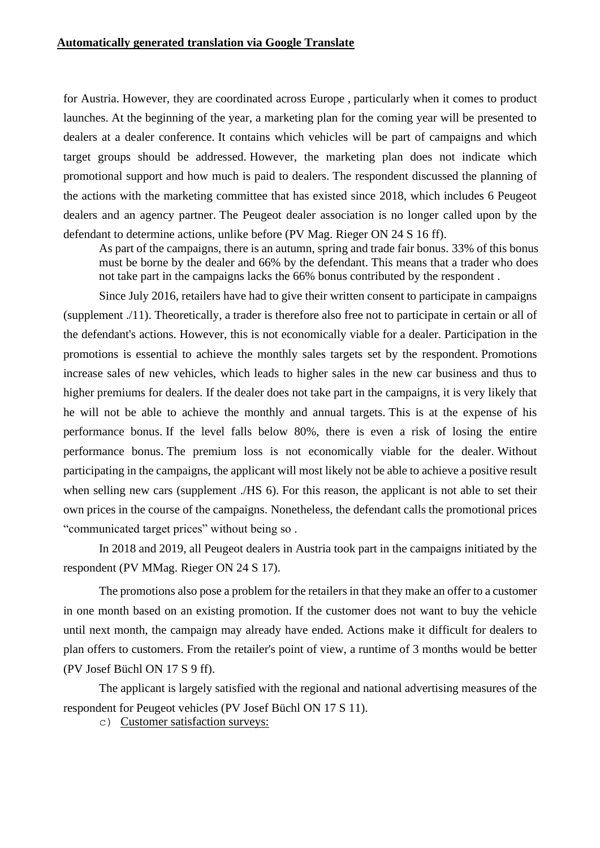for Austria. However, they are coordinated across Europe , particularly when it comes to product launches. At the beginning of the year, a marketing plan for the coming year will be presented to dealers at a dealer conference. It contains which vehicles will be part of campaigns and which target groups should be addressed. However, the marketing plan does not indicate which promotional support and how much is paid to dealers. The respondent discussed the planning of the actions with the marketing committee that has existed since 2018, which includes 6 Peugeot dealers and an agency partner. The Peugeot dealer association is no longer called upon by the defendant to determine actions, unlike before (PV Mag. Rieger ON 24 S 16 ff).

As part of the campaigns, there is an autumn, spring and trade fair bonus. 33% of this bonus must be borne by the dealer and 66% by the defendant. This means that a trader who does not take part in the campaigns lacks the 66% bonus contributed by the respondent .

Since July 2016, retailers have had to give their written consent to participate in campaigns (supplement ./11). Theoretically, a trader is therefore also free not to participate in certain or all of the defendant's actions. However, this is not economically viable for a dealer. Participation in the promotions is essential to achieve the monthly sales targets set by the respondent. Promotions increase sales of new vehicles, which leads to higher sales in the new car business and thus to higher premiums for dealers. If the dealer does not take part in the campaigns, it is very likely that he will not be able to achieve the monthly and annual targets. This is at the expense of his performance bonus. If the level falls below 80%, there is even a risk of losing the entire performance bonus. The premium loss is not economically viable for the dealer. Without participating in the campaigns, the applicant will most likely not be able to achieve a positive result when selling new cars (supplement ./HS 6). For this reason, the applicant is not able to set their own prices in the course of the campaigns. Nonetheless, the defendant calls the promotional prices "communicated target prices" without being so .

In 2018 and 2019, all Peugeot dealers in Austria took part in the campaigns initiated by the respondent (PV MMag. Rieger ON 24 S 17).

The promotions also pose a problem for the retailers in that they make an offer to a customer in one month based on an existing promotion. If the customer does not want to buy the vehicle until next month, the campaign may already have ended. Actions make it difficult for dealers to plan offers to customers. From the retailer's point of view, a runtime of 3 months would be better (PV Josef Büchl ON 17 S 9 ff).

The applicant is largely satisfied with the regional and national advertising measures of the respondent for Peugeot vehicles (PV Josef Büchl ON 17 S 11).

c) Customer satisfaction surveys: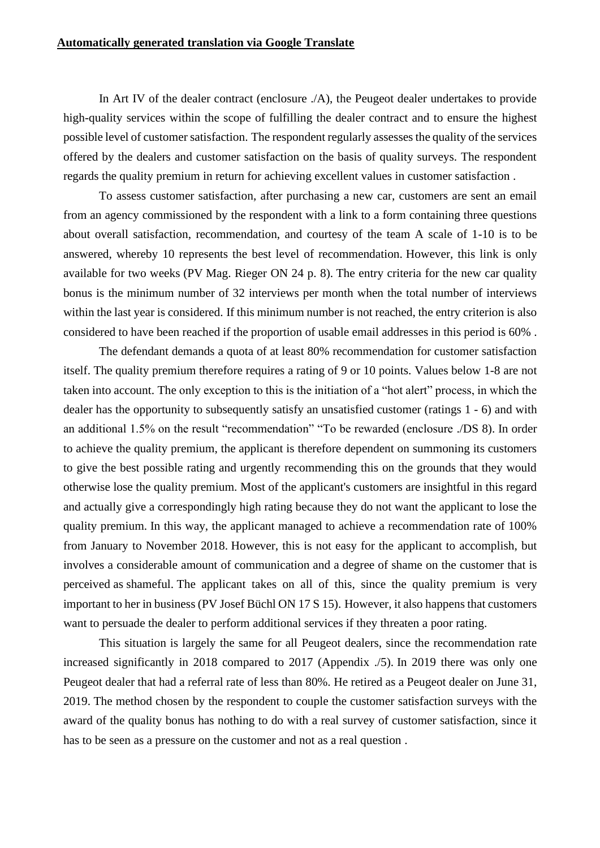In Art IV of the dealer contract (enclosure ./A), the Peugeot dealer undertakes to provide high-quality services within the scope of fulfilling the dealer contract and to ensure the highest possible level of customer satisfaction. The respondent regularly assesses the quality of the services offered by the dealers and customer satisfaction on the basis of quality surveys. The respondent regards the quality premium in return for achieving excellent values in customer satisfaction .

To assess customer satisfaction, after purchasing a new car, customers are sent an email from an agency commissioned by the respondent with a link to a form containing three questions about overall satisfaction, recommendation, and courtesy of the team A scale of 1-10 is to be answered, whereby 10 represents the best level of recommendation. However, this link is only available for two weeks (PV Mag. Rieger ON 24 p. 8). The entry criteria for the new car quality bonus is the minimum number of 32 interviews per month when the total number of interviews within the last year is considered. If this minimum number is not reached, the entry criterion is also considered to have been reached if the proportion of usable email addresses in this period is 60% .

The defendant demands a quota of at least 80% recommendation for customer satisfaction itself. The quality premium therefore requires a rating of 9 or 10 points. Values below 1-8 are not taken into account. The only exception to this is the initiation of a "hot alert" process, in which the dealer has the opportunity to subsequently satisfy an unsatisfied customer (ratings 1 - 6) and with an additional 1.5% on the result "recommendation" "To be rewarded (enclosure ./DS 8). In order to achieve the quality premium, the applicant is therefore dependent on summoning its customers to give the best possible rating and urgently recommending this on the grounds that they would otherwise lose the quality premium. Most of the applicant's customers are insightful in this regard and actually give a correspondingly high rating because they do not want the applicant to lose the quality premium. In this way, the applicant managed to achieve a recommendation rate of 100% from January to November 2018. However, this is not easy for the applicant to accomplish, but involves a considerable amount of communication and a degree of shame on the customer that is perceived as shameful. The applicant takes on all of this, since the quality premium is very important to her in business (PV Josef Büchl ON 17 S 15). However, it also happens that customers want to persuade the dealer to perform additional services if they threaten a poor rating.

This situation is largely the same for all Peugeot dealers, since the recommendation rate increased significantly in 2018 compared to 2017 (Appendix ./5). In 2019 there was only one Peugeot dealer that had a referral rate of less than 80%. He retired as a Peugeot dealer on June 31, 2019. The method chosen by the respondent to couple the customer satisfaction surveys with the award of the quality bonus has nothing to do with a real survey of customer satisfaction, since it has to be seen as a pressure on the customer and not as a real question .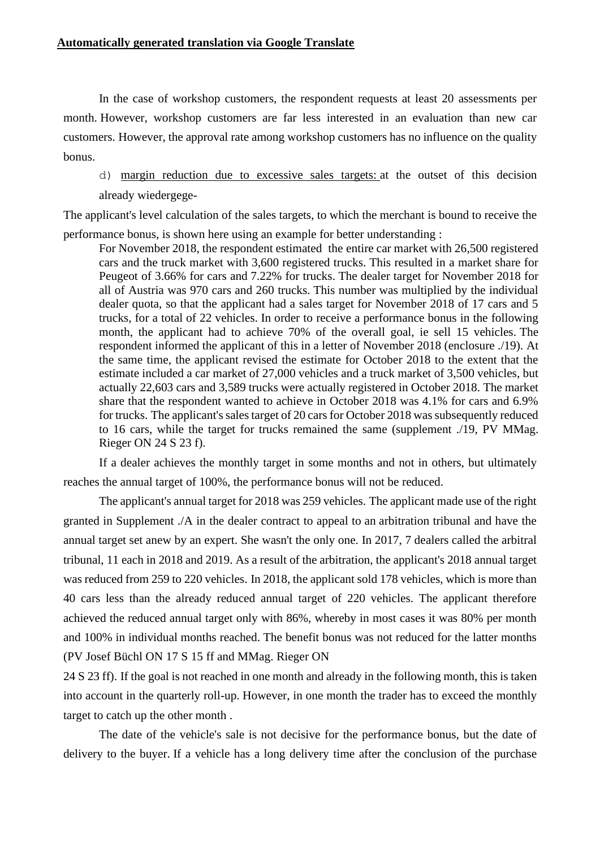In the case of workshop customers, the respondent requests at least 20 assessments per month. However, workshop customers are far less interested in an evaluation than new car customers. However, the approval rate among workshop customers has no influence on the quality bonus.

d) margin reduction due to excessive sales targets: at the outset of this decision already wiedergege-

The applicant's level calculation of the sales targets, to which the merchant is bound to receive the performance bonus, is shown here using an example for better understanding :

For November 2018, the respondent estimated the entire car market with 26,500 registered cars and the truck market with 3,600 registered trucks. This resulted in a market share for Peugeot of 3.66% for cars and 7.22% for trucks. The dealer target for November 2018 for all of Austria was 970 cars and 260 trucks. This number was multiplied by the individual dealer quota, so that the applicant had a sales target for November 2018 of 17 cars and 5 trucks, for a total of 22 vehicles. In order to receive a performance bonus in the following month, the applicant had to achieve 70% of the overall goal, ie sell 15 vehicles. The respondent informed the applicant of this in a letter of November 2018 (enclosure ./19). At the same time, the applicant revised the estimate for October 2018 to the extent that the estimate included a car market of 27,000 vehicles and a truck market of 3,500 vehicles, but actually 22,603 cars and 3,589 trucks were actually registered in October 2018. The market share that the respondent wanted to achieve in October 2018 was 4.1% for cars and 6.9% for trucks. The applicant's sales target of 20 cars for October 2018 was subsequently reduced to 16 cars, while the target for trucks remained the same (supplement ./19, PV MMag. Rieger ON 24 S 23 f).

If a dealer achieves the monthly target in some months and not in others, but ultimately reaches the annual target of 100%, the performance bonus will not be reduced.

The applicant's annual target for 2018 was 259 vehicles. The applicant made use of the right granted in Supplement ./A in the dealer contract to appeal to an arbitration tribunal and have the annual target set anew by an expert. She wasn't the only one. In 2017, 7 dealers called the arbitral tribunal, 11 each in 2018 and 2019. As a result of the arbitration, the applicant's 2018 annual target was reduced from 259 to 220 vehicles. In 2018, the applicant sold 178 vehicles, which is more than 40 cars less than the already reduced annual target of 220 vehicles. The applicant therefore achieved the reduced annual target only with 86%, whereby in most cases it was 80% per month and 100% in individual months reached. The benefit bonus was not reduced for the latter months (PV Josef Büchl ON 17 S 15 ff and MMag. Rieger ON

24 S 23 ff). If the goal is not reached in one month and already in the following month, this is taken into account in the quarterly roll-up. However, in one month the trader has to exceed the monthly target to catch up the other month .

The date of the vehicle's sale is not decisive for the performance bonus, but the date of delivery to the buyer. If a vehicle has a long delivery time after the conclusion of the purchase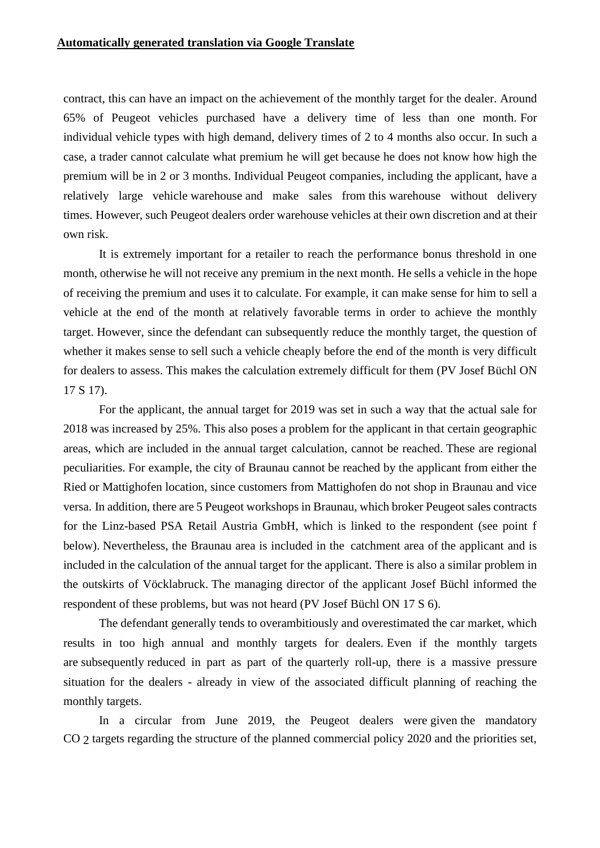contract, this can have an impact on the achievement of the monthly target for the dealer. Around 65% of Peugeot vehicles purchased have a delivery time of less than one month. For individual vehicle types with high demand, delivery times of 2 to 4 months also occur. In such a case, a trader cannot calculate what premium he will get because he does not know how high the premium will be in 2 or 3 months. Individual Peugeot companies, including the applicant, have a relatively large vehicle warehouse and make sales from this warehouse without delivery times. However, such Peugeot dealers order warehouse vehicles at their own discretion and at their own risk.

It is extremely important for a retailer to reach the performance bonus threshold in one month, otherwise he will not receive any premium in the next month. He sells a vehicle in the hope of receiving the premium and uses it to calculate. For example, it can make sense for him to sell a vehicle at the end of the month at relatively favorable terms in order to achieve the monthly target. However, since the defendant can subsequently reduce the monthly target, the question of whether it makes sense to sell such a vehicle cheaply before the end of the month is very difficult for dealers to assess. This makes the calculation extremely difficult for them (PV Josef Büchl ON 17 S 17).

For the applicant, the annual target for 2019 was set in such a way that the actual sale for 2018 was increased by 25%. This also poses a problem for the applicant in that certain geographic areas, which are included in the annual target calculation, cannot be reached. These are regional peculiarities. For example, the city of Braunau cannot be reached by the applicant from either the Ried or Mattighofen location, since customers from Mattighofen do not shop in Braunau and vice versa. In addition, there are 5 Peugeot workshops in Braunau, which broker Peugeot sales contracts for the Linz-based PSA Retail Austria GmbH, which is linked to the respondent (see point f below). Nevertheless, the Braunau area is included in the catchment area of the applicant and is included in the calculation of the annual target for the applicant. There is also a similar problem in the outskirts of Vöcklabruck. The managing director of the applicant Josef Büchl informed the respondent of these problems, but was not heard (PV Josef Büchl ON 17 S 6).

The defendant generally tends to overambitiously and overestimated the car market, which results in too high annual and monthly targets for dealers. Even if the monthly targets are subsequently reduced in part as part of the quarterly roll-up, there is a massive pressure situation for the dealers - already in view of the associated difficult planning of reaching the monthly targets.

In a circular from June 2019, the Peugeot dealers were given the mandatory CO 2 targets regarding the structure of the planned commercial policy 2020 and the priorities set,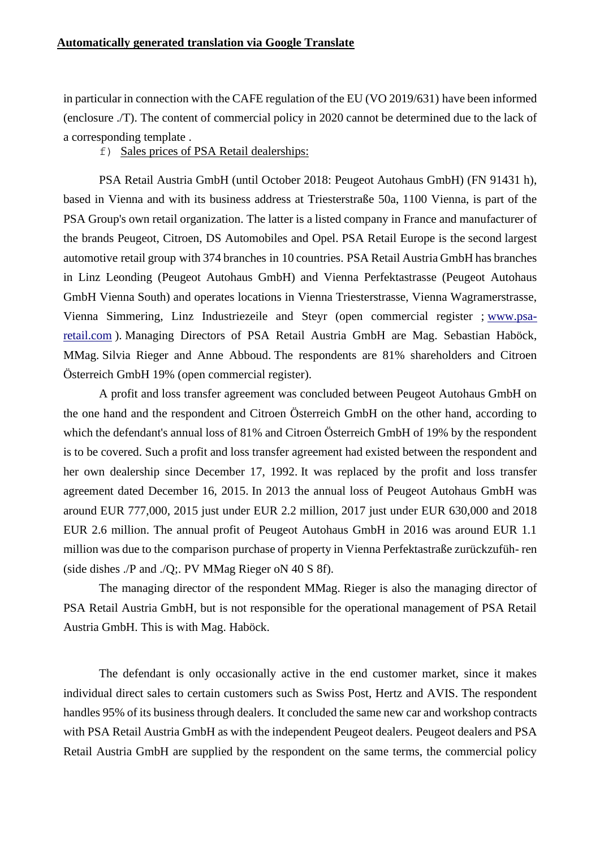in particular in connection with the CAFE regulation of the EU (VO 2019/631) have been informed (enclosure ./T). The content of commercial policy in 2020 cannot be determined due to the lack of a corresponding template .

f) Sales prices of PSA Retail dealerships:

PSA Retail Austria GmbH (until October 2018: Peugeot Autohaus GmbH) (FN 91431 h), based in Vienna and with its business address at Triesterstraße 50a, 1100 Vienna, is part of the PSA Group's own retail organization. The latter is a listed company in France and manufacturer of the brands Peugeot, Citroen, DS Automobiles and Opel. PSA Retail Europe is the second largest automotive retail group with 374 branches in 10 countries. PSA Retail Austria GmbH has branches in Linz Leonding (Peugeot Autohaus GmbH) and Vienna Perfektastrasse (Peugeot Autohaus GmbH Vienna South) and operates locations in Vienna Triesterstrasse, Vienna Wagramerstrasse, Vienna Simmering, Linz Industriezeile and Steyr (open commercial register ; [www.psa](https://translate.google.com/translate?hl=en&prev=_t&sl=de&tl=en&u=http://www.psa-retail.com/)[retail.com](https://translate.google.com/translate?hl=en&prev=_t&sl=de&tl=en&u=http://www.psa-retail.com/) ). Managing Directors of PSA Retail Austria GmbH are Mag. Sebastian Haböck, MMag. Silvia Rieger and Anne Abboud. The respondents are 81% shareholders and Citroen Österreich GmbH 19% (open commercial register).

A profit and loss transfer agreement was concluded between Peugeot Autohaus GmbH on the one hand and the respondent and Citroen Österreich GmbH on the other hand, according to which the defendant's annual loss of 81% and Citroen Österreich GmbH of 19% by the respondent is to be covered. Such a profit and loss transfer agreement had existed between the respondent and her own dealership since December 17, 1992. It was replaced by the profit and loss transfer agreement dated December 16, 2015. In 2013 the annual loss of Peugeot Autohaus GmbH was around EUR 777,000, 2015 just under EUR 2.2 million, 2017 just under EUR 630,000 and 2018 EUR 2.6 million. The annual profit of Peugeot Autohaus GmbH in 2016 was around EUR 1.1 million was due to the comparison purchase of property in Vienna Perfektastraße zurückzufüh- ren (side dishes ./P and ./Q;. PV MMag Rieger oN 40 S 8f).

The managing director of the respondent MMag. Rieger is also the managing director of PSA Retail Austria GmbH, but is not responsible for the operational management of PSA Retail Austria GmbH. This is with Mag. Haböck.

The defendant is only occasionally active in the end customer market, since it makes individual direct sales to certain customers such as Swiss Post, Hertz and AVIS. The respondent handles 95% of its business through dealers. It concluded the same new car and workshop contracts with PSA Retail Austria GmbH as with the independent Peugeot dealers. Peugeot dealers and PSA Retail Austria GmbH are supplied by the respondent on the same terms, the commercial policy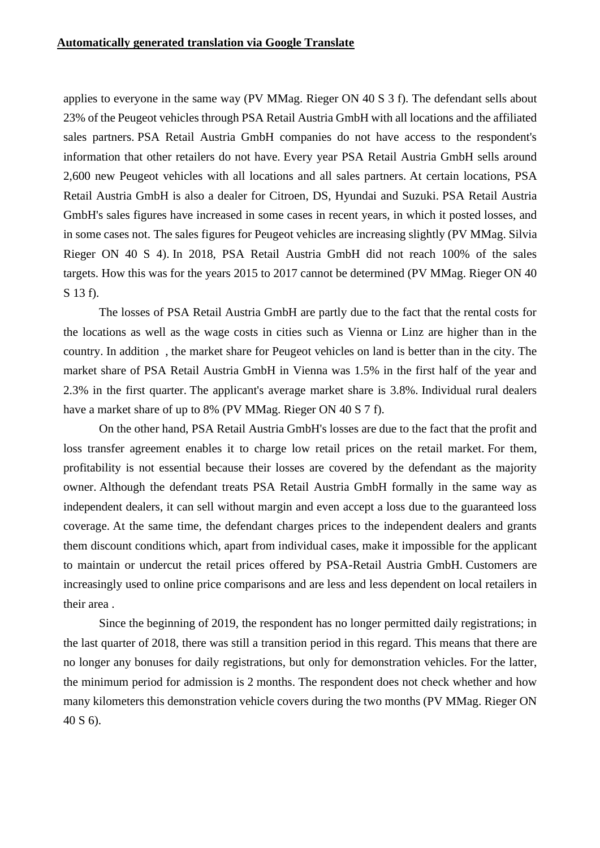applies to everyone in the same way (PV MMag. Rieger ON 40 S 3 f). The defendant sells about 23% of the Peugeot vehicles through PSA Retail Austria GmbH with all locations and the affiliated sales partners. PSA Retail Austria GmbH companies do not have access to the respondent's information that other retailers do not have. Every year PSA Retail Austria GmbH sells around 2,600 new Peugeot vehicles with all locations and all sales partners. At certain locations, PSA Retail Austria GmbH is also a dealer for Citroen, DS, Hyundai and Suzuki. PSA Retail Austria GmbH's sales figures have increased in some cases in recent years, in which it posted losses, and in some cases not. The sales figures for Peugeot vehicles are increasing slightly (PV MMag. Silvia Rieger ON 40 S 4). In 2018, PSA Retail Austria GmbH did not reach 100% of the sales targets. How this was for the years 2015 to 2017 cannot be determined (PV MMag. Rieger ON 40 S 13 f).

The losses of PSA Retail Austria GmbH are partly due to the fact that the rental costs for the locations as well as the wage costs in cities such as Vienna or Linz are higher than in the country. In addition , the market share for Peugeot vehicles on land is better than in the city. The market share of PSA Retail Austria GmbH in Vienna was 1.5% in the first half of the year and 2.3% in the first quarter. The applicant's average market share is 3.8%. Individual rural dealers have a market share of up to 8% (PV MMag. Rieger ON 40 S 7 f).

On the other hand, PSA Retail Austria GmbH's losses are due to the fact that the profit and loss transfer agreement enables it to charge low retail prices on the retail market. For them, profitability is not essential because their losses are covered by the defendant as the majority owner. Although the defendant treats PSA Retail Austria GmbH formally in the same way as independent dealers, it can sell without margin and even accept a loss due to the guaranteed loss coverage. At the same time, the defendant charges prices to the independent dealers and grants them discount conditions which, apart from individual cases, make it impossible for the applicant to maintain or undercut the retail prices offered by PSA-Retail Austria GmbH. Customers are increasingly used to online price comparisons and are less and less dependent on local retailers in their area .

Since the beginning of 2019, the respondent has no longer permitted daily registrations; in the last quarter of 2018, there was still a transition period in this regard. This means that there are no longer any bonuses for daily registrations, but only for demonstration vehicles. For the latter, the minimum period for admission is 2 months. The respondent does not check whether and how many kilometers this demonstration vehicle covers during the two months (PV MMag. Rieger ON 40 S 6).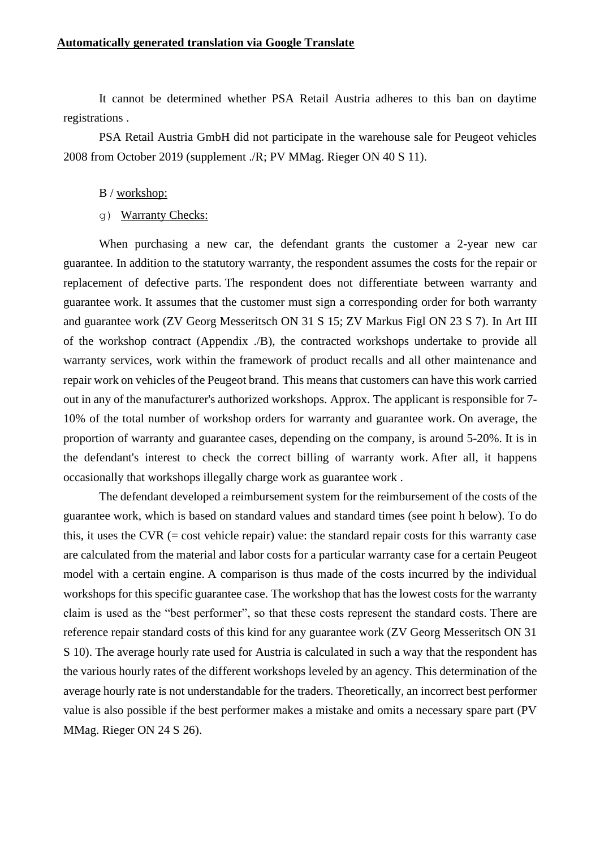### **Automatically generated translation via Google Translate**

It cannot be determined whether PSA Retail Austria adheres to this ban on daytime registrations .

PSA Retail Austria GmbH did not participate in the warehouse sale for Peugeot vehicles 2008 from October 2019 (supplement ./R; PV MMag. Rieger ON 40 S 11).

- B / workshop:
- g) Warranty Checks:

When purchasing a new car, the defendant grants the customer a 2-year new car guarantee. In addition to the statutory warranty, the respondent assumes the costs for the repair or replacement of defective parts. The respondent does not differentiate between warranty and guarantee work. It assumes that the customer must sign a corresponding order for both warranty and guarantee work (ZV Georg Messeritsch ON 31 S 15; ZV Markus Figl ON 23 S 7). In Art III of the workshop contract (Appendix ./B), the contracted workshops undertake to provide all warranty services, work within the framework of product recalls and all other maintenance and repair work on vehicles of the Peugeot brand. This means that customers can have this work carried out in any of the manufacturer's authorized workshops. Approx. The applicant is responsible for 7- 10% of the total number of workshop orders for warranty and guarantee work. On average, the proportion of warranty and guarantee cases, depending on the company, is around 5-20%. It is in the defendant's interest to check the correct billing of warranty work. After all, it happens occasionally that workshops illegally charge work as guarantee work .

The defendant developed a reimbursement system for the reimbursement of the costs of the guarantee work, which is based on standard values and standard times (see point h below). To do this, it uses the CVR  $(=\text{cost} \times \text{velocity} \times \text{velocity}$  value: the standard repair costs for this warranty case are calculated from the material and labor costs for a particular warranty case for a certain Peugeot model with a certain engine. A comparison is thus made of the costs incurred by the individual workshops for this specific guarantee case. The workshop that has the lowest costs for the warranty claim is used as the "best performer", so that these costs represent the standard costs. There are reference repair standard costs of this kind for any guarantee work (ZV Georg Messeritsch ON 31 S 10). The average hourly rate used for Austria is calculated in such a way that the respondent has the various hourly rates of the different workshops leveled by an agency. This determination of the average hourly rate is not understandable for the traders. Theoretically, an incorrect best performer value is also possible if the best performer makes a mistake and omits a necessary spare part (PV MMag. Rieger ON 24 S 26).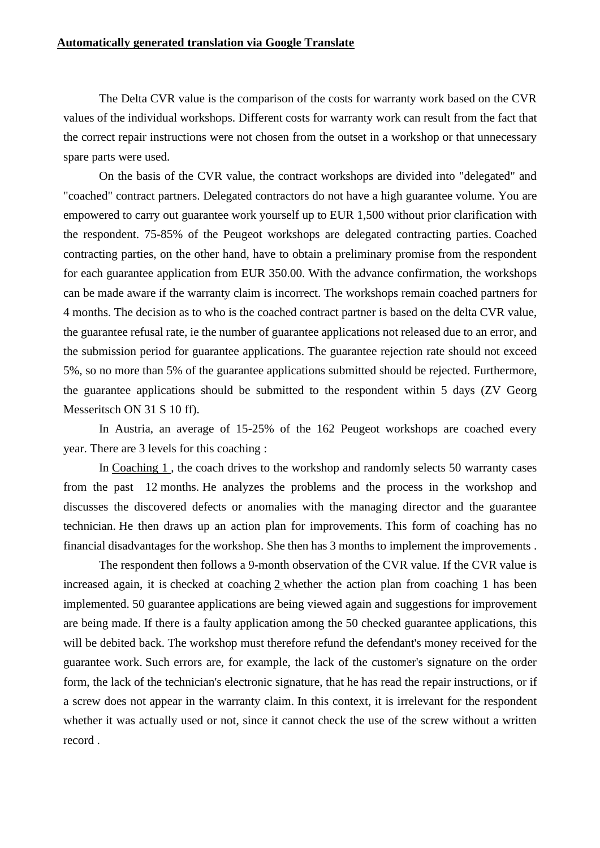The Delta CVR value is the comparison of the costs for warranty work based on the CVR values of the individual workshops. Different costs for warranty work can result from the fact that the correct repair instructions were not chosen from the outset in a workshop or that unnecessary spare parts were used.

On the basis of the CVR value, the contract workshops are divided into "delegated" and "coached" contract partners. Delegated contractors do not have a high guarantee volume. You are empowered to carry out guarantee work yourself up to EUR 1,500 without prior clarification with the respondent. 75-85% of the Peugeot workshops are delegated contracting parties. Coached contracting parties, on the other hand, have to obtain a preliminary promise from the respondent for each guarantee application from EUR 350.00. With the advance confirmation, the workshops can be made aware if the warranty claim is incorrect. The workshops remain coached partners for 4 months. The decision as to who is the coached contract partner is based on the delta CVR value, the guarantee refusal rate, ie the number of guarantee applications not released due to an error, and the submission period for guarantee applications. The guarantee rejection rate should not exceed 5%, so no more than 5% of the guarantee applications submitted should be rejected. Furthermore, the guarantee applications should be submitted to the respondent within 5 days (ZV Georg Messeritsch ON 31 S 10 ff).

In Austria, an average of 15-25% of the 162 Peugeot workshops are coached every year. There are 3 levels for this coaching :

In Coaching 1 , the coach drives to the workshop and randomly selects 50 warranty cases from the past 12 months. He analyzes the problems and the process in the workshop and discusses the discovered defects or anomalies with the managing director and the guarantee technician. He then draws up an action plan for improvements. This form of coaching has no financial disadvantages for the workshop. She then has 3 months to implement the improvements .

The respondent then follows a 9-month observation of the CVR value. If the CVR value is increased again, it is checked at coaching 2 whether the action plan from coaching 1 has been implemented. 50 guarantee applications are being viewed again and suggestions for improvement are being made. If there is a faulty application among the 50 checked guarantee applications, this will be debited back. The workshop must therefore refund the defendant's money received for the guarantee work. Such errors are, for example, the lack of the customer's signature on the order form, the lack of the technician's electronic signature, that he has read the repair instructions, or if a screw does not appear in the warranty claim. In this context, it is irrelevant for the respondent whether it was actually used or not, since it cannot check the use of the screw without a written record .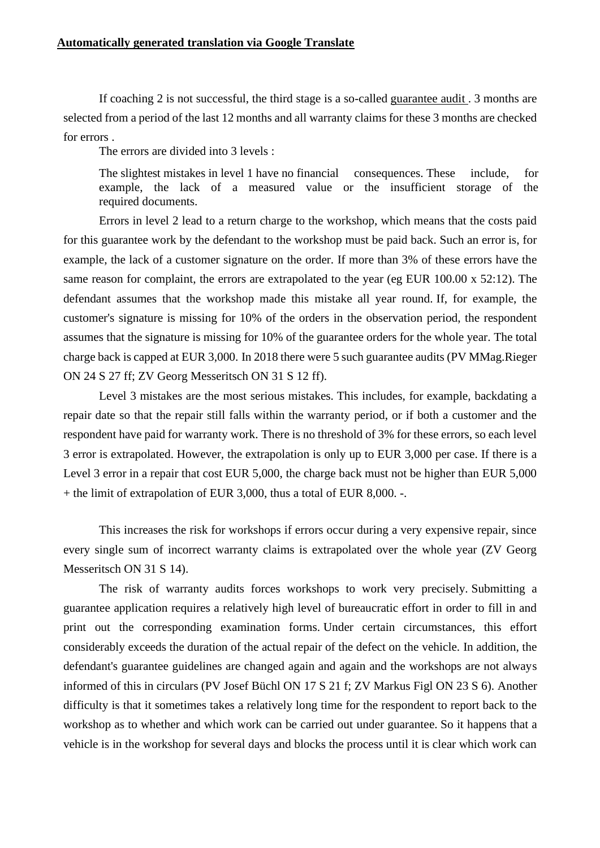If coaching 2 is not successful, the third stage is a so-called guarantee audit . 3 months are selected from a period of the last 12 months and all warranty claims for these 3 months are checked for errors .

The errors are divided into 3 levels :

The slightest mistakes in level 1 have no financial consequences. These include, for example, the lack of a measured value or the insufficient storage of the required documents.

Errors in level 2 lead to a return charge to the workshop, which means that the costs paid for this guarantee work by the defendant to the workshop must be paid back. Such an error is, for example, the lack of a customer signature on the order. If more than 3% of these errors have the same reason for complaint, the errors are extrapolated to the year (eg EUR 100.00 x 52:12). The defendant assumes that the workshop made this mistake all year round. If, for example, the customer's signature is missing for 10% of the orders in the observation period, the respondent assumes that the signature is missing for 10% of the guarantee orders for the whole year. The total charge back is capped at EUR 3,000. In 2018 there were 5 such guarantee audits (PV MMag.Rieger ON 24 S 27 ff; ZV Georg Messeritsch ON 31 S 12 ff).

Level 3 mistakes are the most serious mistakes. This includes, for example, backdating a repair date so that the repair still falls within the warranty period, or if both a customer and the respondent have paid for warranty work. There is no threshold of 3% for these errors, so each level 3 error is extrapolated. However, the extrapolation is only up to EUR 3,000 per case. If there is a Level 3 error in a repair that cost EUR 5,000, the charge back must not be higher than EUR 5,000 + the limit of extrapolation of EUR 3,000, thus a total of EUR 8,000. -.

This increases the risk for workshops if errors occur during a very expensive repair, since every single sum of incorrect warranty claims is extrapolated over the whole year (ZV Georg Messeritsch ON 31 S 14).

The risk of warranty audits forces workshops to work very precisely. Submitting a guarantee application requires a relatively high level of bureaucratic effort in order to fill in and print out the corresponding examination forms. Under certain circumstances, this effort considerably exceeds the duration of the actual repair of the defect on the vehicle. In addition, the defendant's guarantee guidelines are changed again and again and the workshops are not always informed of this in circulars (PV Josef Büchl ON 17 S 21 f; ZV Markus Figl ON 23 S 6). Another difficulty is that it sometimes takes a relatively long time for the respondent to report back to the workshop as to whether and which work can be carried out under guarantee. So it happens that a vehicle is in the workshop for several days and blocks the process until it is clear which work can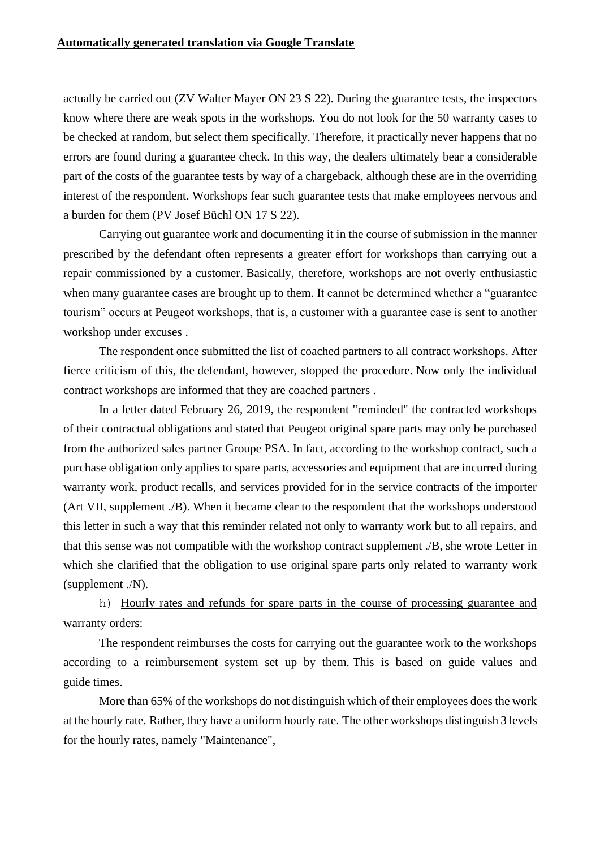actually be carried out (ZV Walter Mayer ON 23 S 22). During the guarantee tests, the inspectors know where there are weak spots in the workshops. You do not look for the 50 warranty cases to be checked at random, but select them specifically. Therefore, it practically never happens that no errors are found during a guarantee check. In this way, the dealers ultimately bear a considerable part of the costs of the guarantee tests by way of a chargeback, although these are in the overriding interest of the respondent. Workshops fear such guarantee tests that make employees nervous and a burden for them (PV Josef Büchl ON 17 S 22).

Carrying out guarantee work and documenting it in the course of submission in the manner prescribed by the defendant often represents a greater effort for workshops than carrying out a repair commissioned by a customer. Basically, therefore, workshops are not overly enthusiastic when many guarantee cases are brought up to them. It cannot be determined whether a "guarantee tourism" occurs at Peugeot workshops, that is, a customer with a guarantee case is sent to another workshop under excuses .

The respondent once submitted the list of coached partners to all contract workshops. After fierce criticism of this, the defendant, however, stopped the procedure. Now only the individual contract workshops are informed that they are coached partners .

In a letter dated February 26, 2019, the respondent "reminded" the contracted workshops of their contractual obligations and stated that Peugeot original spare parts may only be purchased from the authorized sales partner Groupe PSA. In fact, according to the workshop contract, such a purchase obligation only applies to spare parts, accessories and equipment that are incurred during warranty work, product recalls, and services provided for in the service contracts of the importer (Art VII, supplement ./B). When it became clear to the respondent that the workshops understood this letter in such a way that this reminder related not only to warranty work but to all repairs, and that this sense was not compatible with the workshop contract supplement ./B, she wrote Letter in which she clarified that the obligation to use original spare parts only related to warranty work (supplement ./N).

h) Hourly rates and refunds for spare parts in the course of processing guarantee and warranty orders:

The respondent reimburses the costs for carrying out the guarantee work to the workshops according to a reimbursement system set up by them. This is based on guide values and guide times.

More than 65% of the workshops do not distinguish which of their employees does the work at the hourly rate. Rather, they have a uniform hourly rate. The other workshops distinguish 3 levels for the hourly rates, namely "Maintenance",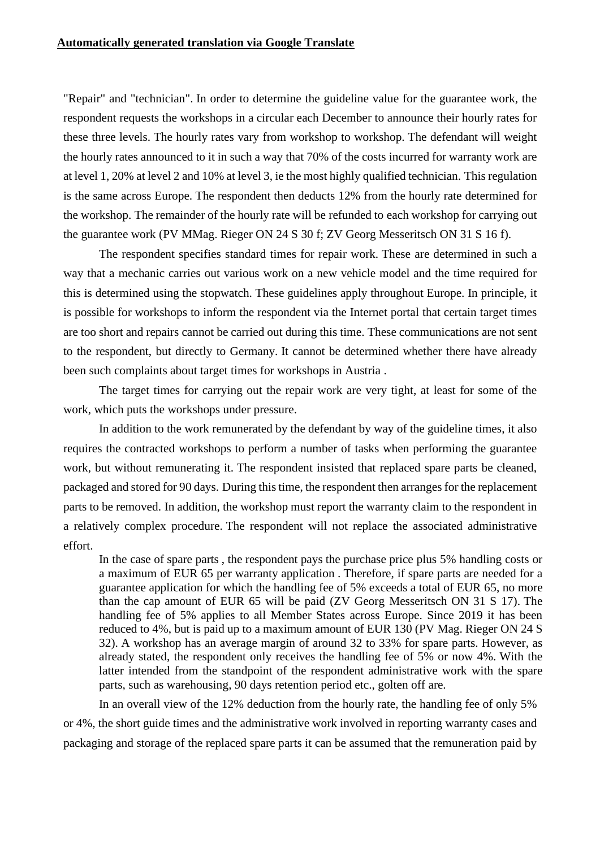"Repair" and "technician". In order to determine the guideline value for the guarantee work, the respondent requests the workshops in a circular each December to announce their hourly rates for these three levels. The hourly rates vary from workshop to workshop. The defendant will weight the hourly rates announced to it in such a way that 70% of the costs incurred for warranty work are at level 1, 20% at level 2 and 10% at level 3, ie the most highly qualified technician. This regulation is the same across Europe. The respondent then deducts 12% from the hourly rate determined for the workshop. The remainder of the hourly rate will be refunded to each workshop for carrying out the guarantee work (PV MMag. Rieger ON 24 S 30 f; ZV Georg Messeritsch ON 31 S 16 f).

The respondent specifies standard times for repair work. These are determined in such a way that a mechanic carries out various work on a new vehicle model and the time required for this is determined using the stopwatch. These guidelines apply throughout Europe. In principle, it is possible for workshops to inform the respondent via the Internet portal that certain target times are too short and repairs cannot be carried out during this time. These communications are not sent to the respondent, but directly to Germany. It cannot be determined whether there have already been such complaints about target times for workshops in Austria .

The target times for carrying out the repair work are very tight, at least for some of the work, which puts the workshops under pressure.

In addition to the work remunerated by the defendant by way of the guideline times, it also requires the contracted workshops to perform a number of tasks when performing the guarantee work, but without remunerating it. The respondent insisted that replaced spare parts be cleaned, packaged and stored for 90 days. During this time, the respondent then arranges for the replacement parts to be removed. In addition, the workshop must report the warranty claim to the respondent in a relatively complex procedure. The respondent will not replace the associated administrative effort.

In the case of spare parts , the respondent pays the purchase price plus 5% handling costs or a maximum of EUR 65 per warranty application . Therefore, if spare parts are needed for a guarantee application for which the handling fee of 5% exceeds a total of EUR 65, no more than the cap amount of EUR 65 will be paid (ZV Georg Messeritsch ON 31 S 17). The handling fee of 5% applies to all Member States across Europe. Since 2019 it has been reduced to 4%, but is paid up to a maximum amount of EUR 130 (PV Mag. Rieger ON 24 S 32). A workshop has an average margin of around 32 to 33% for spare parts. However, as already stated, the respondent only receives the handling fee of 5% or now 4%. With the latter intended from the standpoint of the respondent administrative work with the spare parts, such as warehousing, 90 days retention period etc., golten off are.

In an overall view of the 12% deduction from the hourly rate, the handling fee of only 5% or 4%, the short guide times and the administrative work involved in reporting warranty cases and packaging and storage of the replaced spare parts it can be assumed that the remuneration paid by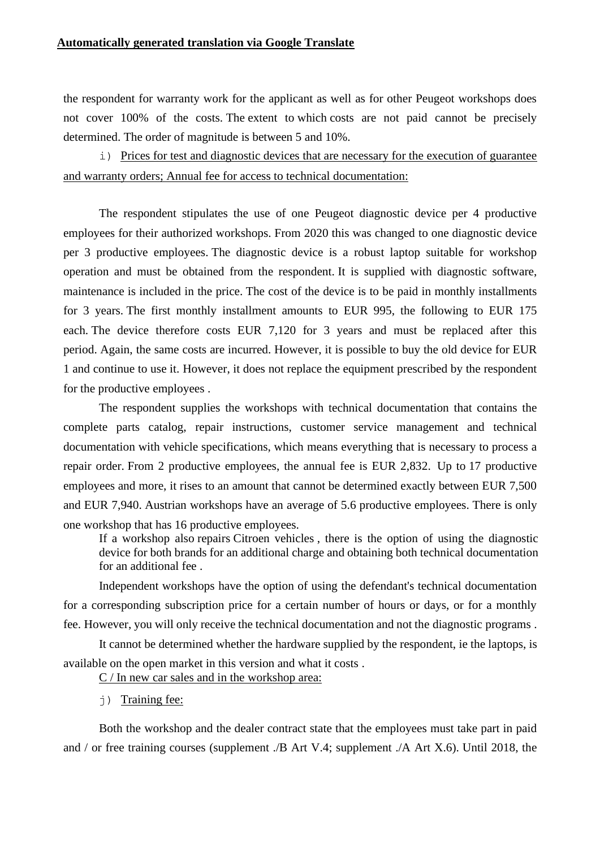the respondent for warranty work for the applicant as well as for other Peugeot workshops does not cover 100% of the costs. The extent to which costs are not paid cannot be precisely determined. The order of magnitude is between 5 and 10%.

i) Prices for test and diagnostic devices that are necessary for the execution of guarantee and warranty orders; Annual fee for access to technical documentation:

The respondent stipulates the use of one Peugeot diagnostic device per 4 productive employees for their authorized workshops. From 2020 this was changed to one diagnostic device per 3 productive employees. The diagnostic device is a robust laptop suitable for workshop operation and must be obtained from the respondent. It is supplied with diagnostic software, maintenance is included in the price. The cost of the device is to be paid in monthly installments for 3 years. The first monthly installment amounts to EUR 995, the following to EUR 175 each. The device therefore costs EUR 7,120 for 3 years and must be replaced after this period. Again, the same costs are incurred. However, it is possible to buy the old device for EUR 1 and continue to use it. However, it does not replace the equipment prescribed by the respondent for the productive employees .

The respondent supplies the workshops with technical documentation that contains the complete parts catalog, repair instructions, customer service management and technical documentation with vehicle specifications, which means everything that is necessary to process a repair order. From 2 productive employees, the annual fee is EUR 2,832. Up to 17 productive employees and more, it rises to an amount that cannot be determined exactly between EUR 7,500 and EUR 7,940. Austrian workshops have an average of 5.6 productive employees. There is only one workshop that has 16 productive employees.

If a workshop also repairs Citroen vehicles , there is the option of using the diagnostic device for both brands for an additional charge and obtaining both technical documentation for an additional fee .

Independent workshops have the option of using the defendant's technical documentation for a corresponding subscription price for a certain number of hours or days, or for a monthly fee. However, you will only receive the technical documentation and not the diagnostic programs .

It cannot be determined whether the hardware supplied by the respondent, ie the laptops, is available on the open market in this version and what it costs .

C / In new car sales and in the workshop area:

j) Training fee:

Both the workshop and the dealer contract state that the employees must take part in paid and / or free training courses (supplement ./B Art V.4; supplement ./A Art X.6). Until 2018, the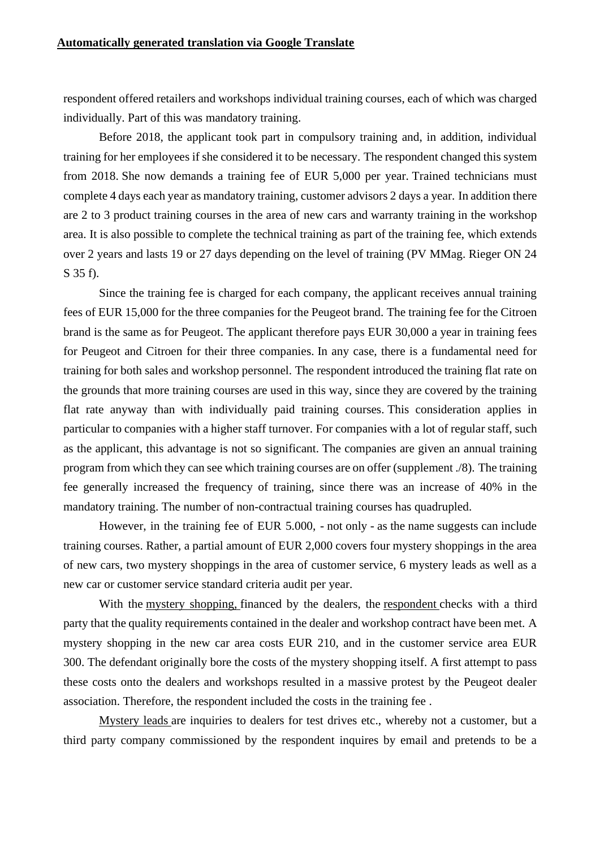respondent offered retailers and workshops individual training courses, each of which was charged individually. Part of this was mandatory training.

Before 2018, the applicant took part in compulsory training and, in addition, individual training for her employees if she considered it to be necessary. The respondent changed this system from 2018. She now demands a training fee of EUR 5,000 per year. Trained technicians must complete 4 days each year as mandatory training, customer advisors 2 days a year. In addition there are 2 to 3 product training courses in the area of new cars and warranty training in the workshop area. It is also possible to complete the technical training as part of the training fee, which extends over 2 years and lasts 19 or 27 days depending on the level of training (PV MMag. Rieger ON 24 S 35 f).

Since the training fee is charged for each company, the applicant receives annual training fees of EUR 15,000 for the three companies for the Peugeot brand. The training fee for the Citroen brand is the same as for Peugeot. The applicant therefore pays EUR 30,000 a year in training fees for Peugeot and Citroen for their three companies. In any case, there is a fundamental need for training for both sales and workshop personnel. The respondent introduced the training flat rate on the grounds that more training courses are used in this way, since they are covered by the training flat rate anyway than with individually paid training courses. This consideration applies in particular to companies with a higher staff turnover. For companies with a lot of regular staff, such as the applicant, this advantage is not so significant. The companies are given an annual training program from which they can see which training courses are on offer (supplement ./8). The training fee generally increased the frequency of training, since there was an increase of 40% in the mandatory training. The number of non-contractual training courses has quadrupled.

However, in the training fee of EUR 5.000, - not only - as the name suggests can include training courses. Rather, a partial amount of EUR 2,000 covers four mystery shoppings in the area of new cars, two mystery shoppings in the area of customer service, 6 mystery leads as well as a new car or customer service standard criteria audit per year.

With the mystery shopping, financed by the dealers, the respondent checks with a third party that the quality requirements contained in the dealer and workshop contract have been met. A mystery shopping in the new car area costs EUR 210, and in the customer service area EUR 300. The defendant originally bore the costs of the mystery shopping itself. A first attempt to pass these costs onto the dealers and workshops resulted in a massive protest by the Peugeot dealer association. Therefore, the respondent included the costs in the training fee .

Mystery leads are inquiries to dealers for test drives etc., whereby not a customer, but a third party company commissioned by the respondent inquires by email and pretends to be a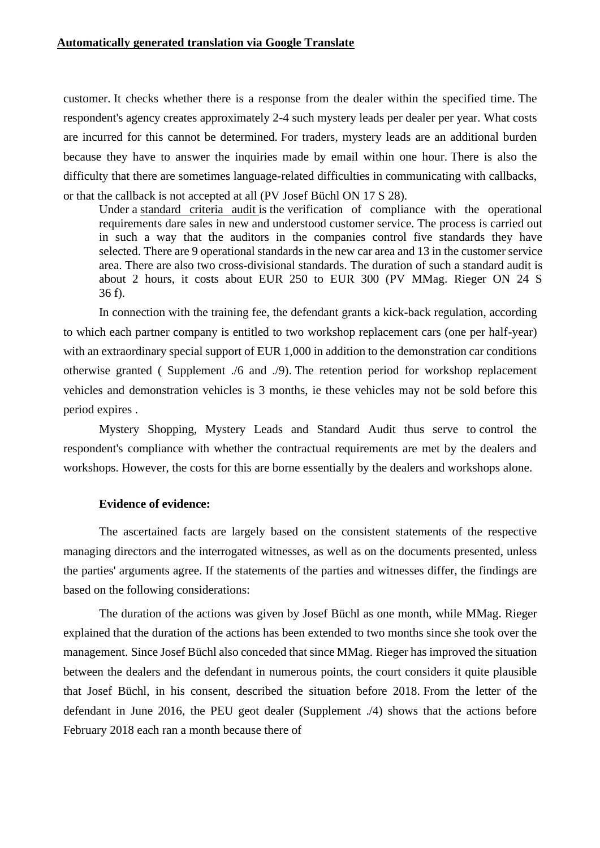customer. It checks whether there is a response from the dealer within the specified time. The respondent's agency creates approximately 2-4 such mystery leads per dealer per year. What costs are incurred for this cannot be determined. For traders, mystery leads are an additional burden because they have to answer the inquiries made by email within one hour. There is also the difficulty that there are sometimes language-related difficulties in communicating with callbacks, or that the callback is not accepted at all (PV Josef Büchl ON 17 S 28).

Under a standard criteria audit is the verification of compliance with the operational requirements dare sales in new and understood customer service. The process is carried out in such a way that the auditors in the companies control five standards they have selected. There are 9 operational standards in the new car area and 13 in the customer service area. There are also two cross-divisional standards. The duration of such a standard audit is about 2 hours, it costs about EUR 250 to EUR 300 (PV MMag. Rieger ON 24 S 36 f).

In connection with the training fee, the defendant grants a kick-back regulation, according to which each partner company is entitled to two workshop replacement cars (one per half-year) with an extraordinary special support of EUR 1,000 in addition to the demonstration car conditions otherwise granted ( Supplement ./6 and ./9). The retention period for workshop replacement vehicles and demonstration vehicles is 3 months, ie these vehicles may not be sold before this period expires .

Mystery Shopping, Mystery Leads and Standard Audit thus serve to control the respondent's compliance with whether the contractual requirements are met by the dealers and workshops. However, the costs for this are borne essentially by the dealers and workshops alone.

#### **Evidence of evidence:**

The ascertained facts are largely based on the consistent statements of the respective managing directors and the interrogated witnesses, as well as on the documents presented, unless the parties' arguments agree. If the statements of the parties and witnesses differ, the findings are based on the following considerations:

The duration of the actions was given by Josef Büchl as one month, while MMag. Rieger explained that the duration of the actions has been extended to two months since she took over the management. Since Josef Büchl also conceded that since MMag. Rieger has improved the situation between the dealers and the defendant in numerous points, the court considers it quite plausible that Josef Büchl, in his consent, described the situation before 2018. From the letter of the defendant in June 2016, the PEU geot dealer (Supplement ./4) shows that the actions before February 2018 each ran a month because there of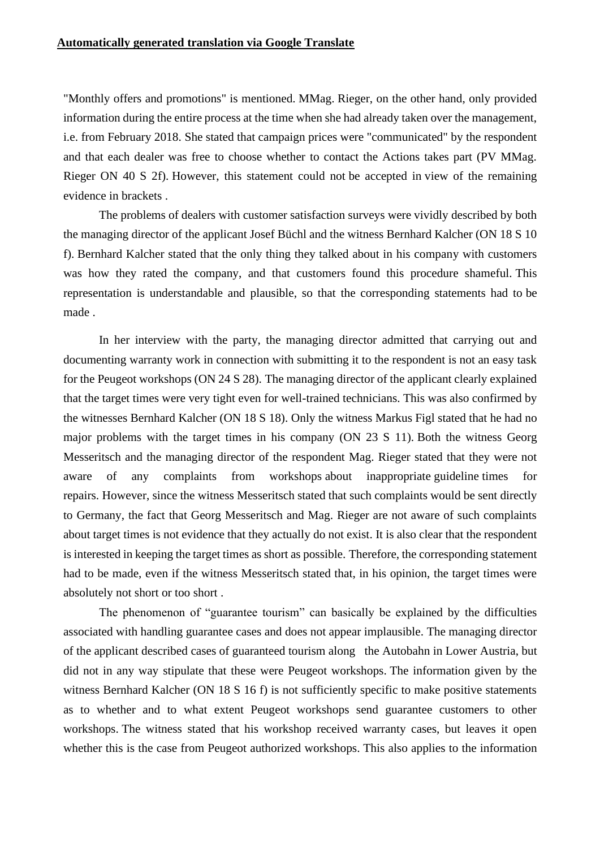"Monthly offers and promotions" is mentioned. MMag. Rieger, on the other hand, only provided information during the entire process at the time when she had already taken over the management, i.e. from February 2018. She stated that campaign prices were "communicated" by the respondent and that each dealer was free to choose whether to contact the Actions takes part (PV MMag. Rieger ON 40 S 2f). However, this statement could not be accepted in view of the remaining evidence in brackets .

The problems of dealers with customer satisfaction surveys were vividly described by both the managing director of the applicant Josef Büchl and the witness Bernhard Kalcher (ON 18 S 10 f). Bernhard Kalcher stated that the only thing they talked about in his company with customers was how they rated the company, and that customers found this procedure shameful. This representation is understandable and plausible, so that the corresponding statements had to be made .

In her interview with the party, the managing director admitted that carrying out and documenting warranty work in connection with submitting it to the respondent is not an easy task for the Peugeot workshops (ON 24 S 28). The managing director of the applicant clearly explained that the target times were very tight even for well-trained technicians. This was also confirmed by the witnesses Bernhard Kalcher (ON 18 S 18). Only the witness Markus Figl stated that he had no major problems with the target times in his company (ON 23 S 11). Both the witness Georg Messeritsch and the managing director of the respondent Mag. Rieger stated that they were not aware of any complaints from workshops about inappropriate guideline times for repairs. However, since the witness Messeritsch stated that such complaints would be sent directly to Germany, the fact that Georg Messeritsch and Mag. Rieger are not aware of such complaints about target times is not evidence that they actually do not exist. It is also clear that the respondent is interested in keeping the target times as short as possible. Therefore, the corresponding statement had to be made, even if the witness Messeritsch stated that, in his opinion, the target times were absolutely not short or too short.

The phenomenon of "guarantee tourism" can basically be explained by the difficulties associated with handling guarantee cases and does not appear implausible. The managing director of the applicant described cases of guaranteed tourism along the Autobahn in Lower Austria, but did not in any way stipulate that these were Peugeot workshops. The information given by the witness Bernhard Kalcher (ON 18 S 16 f) is not sufficiently specific to make positive statements as to whether and to what extent Peugeot workshops send guarantee customers to other workshops. The witness stated that his workshop received warranty cases, but leaves it open whether this is the case from Peugeot authorized workshops. This also applies to the information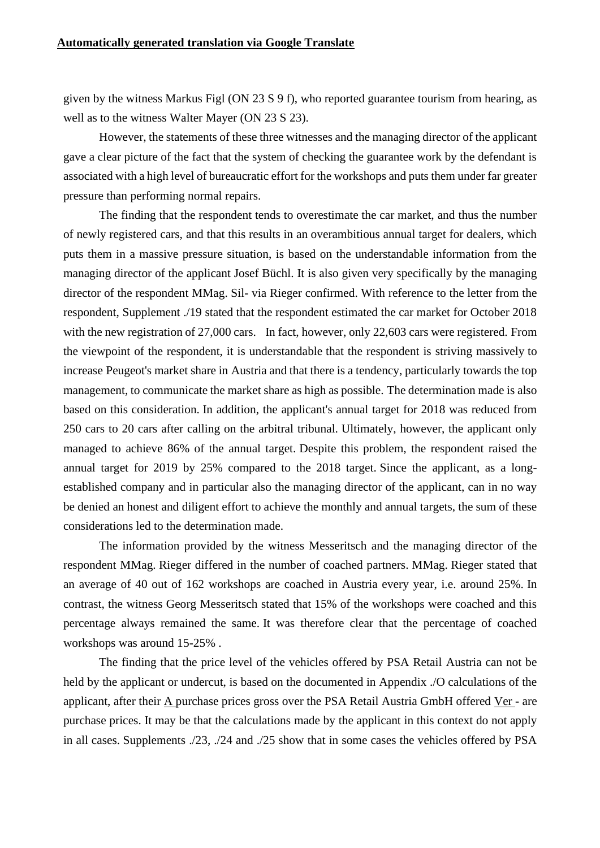given by the witness Markus Figl (ON 23 S 9 f), who reported guarantee tourism from hearing, as well as to the witness Walter Mayer (ON 23 S 23).

However, the statements of these three witnesses and the managing director of the applicant gave a clear picture of the fact that the system of checking the guarantee work by the defendant is associated with a high level of bureaucratic effort for the workshops and puts them under far greater pressure than performing normal repairs.

The finding that the respondent tends to overestimate the car market, and thus the number of newly registered cars, and that this results in an overambitious annual target for dealers, which puts them in a massive pressure situation, is based on the understandable information from the managing director of the applicant Josef Büchl. It is also given very specifically by the managing director of the respondent MMag. Sil- via Rieger confirmed. With reference to the letter from the respondent, Supplement ./19 stated that the respondent estimated the car market for October 2018 with the new registration of 27,000 cars. In fact, however, only 22,603 cars were registered. From the viewpoint of the respondent, it is understandable that the respondent is striving massively to increase Peugeot's market share in Austria and that there is a tendency, particularly towards the top management, to communicate the market share as high as possible. The determination made is also based on this consideration. In addition, the applicant's annual target for 2018 was reduced from 250 cars to 20 cars after calling on the arbitral tribunal. Ultimately, however, the applicant only managed to achieve 86% of the annual target. Despite this problem, the respondent raised the annual target for 2019 by 25% compared to the 2018 target. Since the applicant, as a longestablished company and in particular also the managing director of the applicant, can in no way be denied an honest and diligent effort to achieve the monthly and annual targets, the sum of these considerations led to the determination made.

The information provided by the witness Messeritsch and the managing director of the respondent MMag. Rieger differed in the number of coached partners. MMag. Rieger stated that an average of 40 out of 162 workshops are coached in Austria every year, i.e. around 25%. In contrast, the witness Georg Messeritsch stated that 15% of the workshops were coached and this percentage always remained the same. It was therefore clear that the percentage of coached workshops was around 15-25% .

The finding that the price level of the vehicles offered by PSA Retail Austria can not be held by the applicant or undercut, is based on the documented in Appendix ./O calculations of the applicant, after their A purchase prices gross over the PSA Retail Austria GmbH offered Ver - are purchase prices. It may be that the calculations made by the applicant in this context do not apply in all cases. Supplements ./23, ./24 and ./25 show that in some cases the vehicles offered by PSA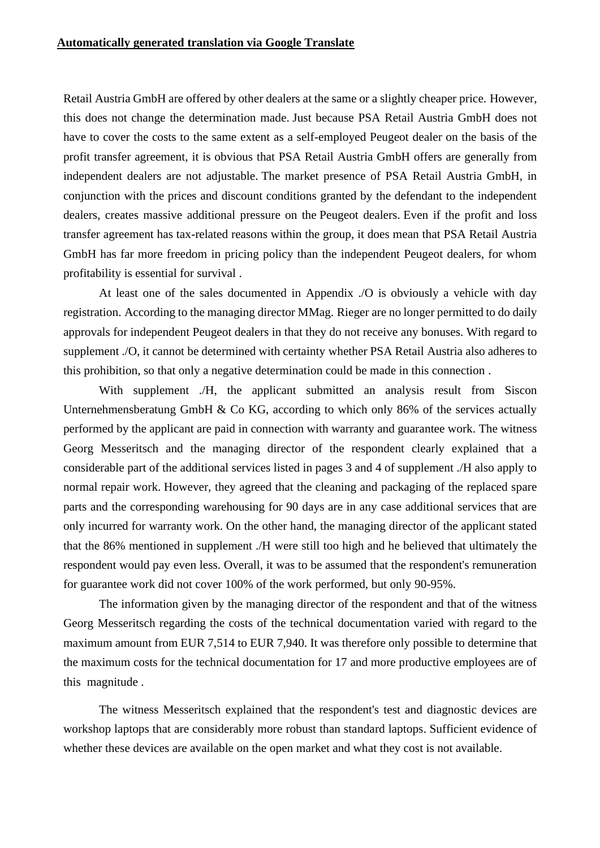Retail Austria GmbH are offered by other dealers at the same or a slightly cheaper price. However, this does not change the determination made. Just because PSA Retail Austria GmbH does not have to cover the costs to the same extent as a self-employed Peugeot dealer on the basis of the profit transfer agreement, it is obvious that PSA Retail Austria GmbH offers are generally from independent dealers are not adjustable. The market presence of PSA Retail Austria GmbH, in conjunction with the prices and discount conditions granted by the defendant to the independent dealers, creates massive additional pressure on the Peugeot dealers. Even if the profit and loss transfer agreement has tax-related reasons within the group, it does mean that PSA Retail Austria GmbH has far more freedom in pricing policy than the independent Peugeot dealers, for whom profitability is essential for survival .

At least one of the sales documented in Appendix ./O is obviously a vehicle with day registration. According to the managing director MMag. Rieger are no longer permitted to do daily approvals for independent Peugeot dealers in that they do not receive any bonuses. With regard to supplement ./O, it cannot be determined with certainty whether PSA Retail Austria also adheres to this prohibition, so that only a negative determination could be made in this connection .

With supplement ./H, the applicant submitted an analysis result from Siscon Unternehmensberatung GmbH & Co KG, according to which only 86% of the services actually performed by the applicant are paid in connection with warranty and guarantee work. The witness Georg Messeritsch and the managing director of the respondent clearly explained that a considerable part of the additional services listed in pages 3 and 4 of supplement ./H also apply to normal repair work. However, they agreed that the cleaning and packaging of the replaced spare parts and the corresponding warehousing for 90 days are in any case additional services that are only incurred for warranty work. On the other hand, the managing director of the applicant stated that the 86% mentioned in supplement ./H were still too high and he believed that ultimately the respondent would pay even less. Overall, it was to be assumed that the respondent's remuneration for guarantee work did not cover 100% of the work performed, but only 90-95%.

The information given by the managing director of the respondent and that of the witness Georg Messeritsch regarding the costs of the technical documentation varied with regard to the maximum amount from EUR 7,514 to EUR 7,940. It was therefore only possible to determine that the maximum costs for the technical documentation for 17 and more productive employees are of this magnitude .

The witness Messeritsch explained that the respondent's test and diagnostic devices are workshop laptops that are considerably more robust than standard laptops. Sufficient evidence of whether these devices are available on the open market and what they cost is not available.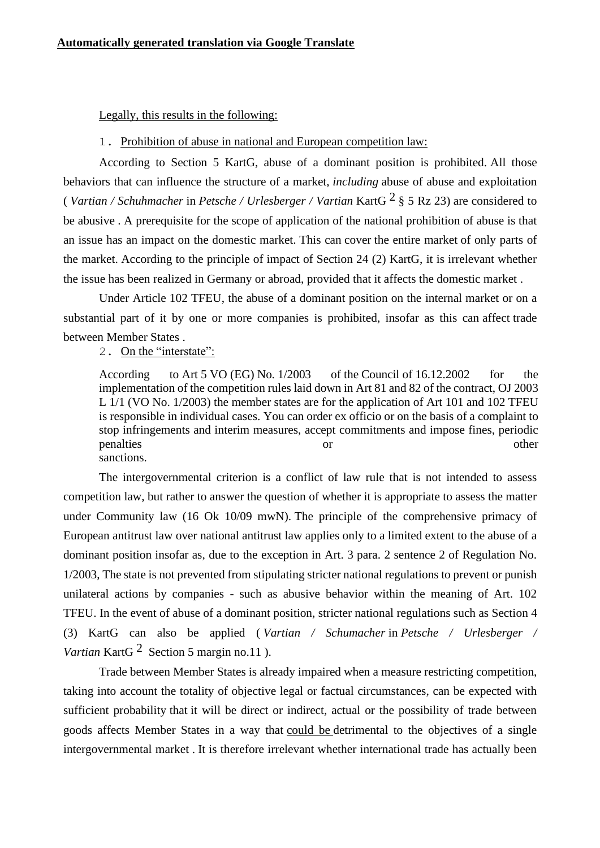Legally, this results in the following:

#### 1. Prohibition of abuse in national and European competition law:

According to Section 5 KartG, abuse of a dominant position is prohibited. All those behaviors that can influence the structure of a market, *including* abuse of abuse and exploitation ( *Vartian / Schuhmacher* in *Petsche / Urlesberger / Vartian* KartG 2 § 5 Rz 23) are considered to be abusive . A prerequisite for the scope of application of the national prohibition of abuse is that an issue has an impact on the domestic market. This can cover the entire market of only parts of the market. According to the principle of impact of Section 24 (2) KartG, it is irrelevant whether the issue has been realized in Germany or abroad, provided that it affects the domestic market .

Under Article 102 TFEU, the abuse of a dominant position on the internal market or on a substantial part of it by one or more companies is prohibited, insofar as this can affect trade between Member States .

2. On the "interstate":

According to Art 5 VO (EG) No. 1/2003 of the Council of 16.12.2002 for the implementation of the competition rules laid down in Art 81 and 82 of the contract, OJ 2003 L 1/1 (VO No. 1/2003) the member states are for the application of Art 101 and 102 TFEU is responsible in individual cases. You can order ex officio or on the basis of a complaint to stop infringements and interim measures, accept commitments and impose fines, periodic penalties or other other sanctions.

The intergovernmental criterion is a conflict of law rule that is not intended to assess competition law, but rather to answer the question of whether it is appropriate to assess the matter under Community law (16 Ok 10/09 mwN). The principle of the comprehensive primacy of European antitrust law over national antitrust law applies only to a limited extent to the abuse of a dominant position insofar as, due to the exception in Art. 3 para. 2 sentence 2 of Regulation No. 1/2003, The state is not prevented from stipulating stricter national regulations to prevent or punish unilateral actions by companies - such as abusive behavior within the meaning of Art. 102 TFEU. In the event of abuse of a dominant position, stricter national regulations such as Section 4 (3) KartG can also be applied ( *Vartian / Schumacher* in *Petsche / Urlesberger / Vartian* KartG<sup>2</sup> Section 5 margin no.11 ).

Trade between Member States is already impaired when a measure restricting competition, taking into account the totality of objective legal or factual circumstances, can be expected with sufficient probability that it will be direct or indirect, actual or the possibility of trade between goods affects Member States in a way that could be detrimental to the objectives of a single intergovernmental market . It is therefore irrelevant whether international trade has actually been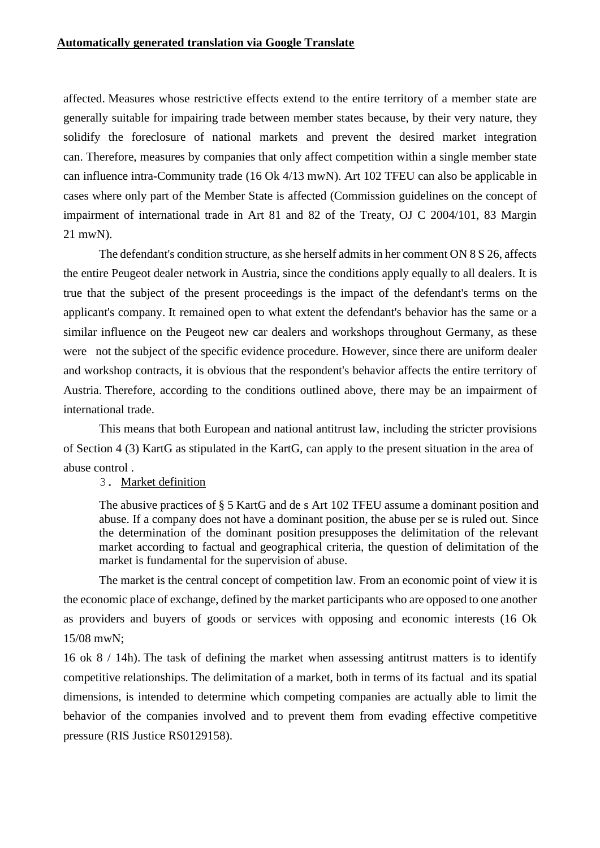affected. Measures whose restrictive effects extend to the entire territory of a member state are generally suitable for impairing trade between member states because, by their very nature, they solidify the foreclosure of national markets and prevent the desired market integration can. Therefore, measures by companies that only affect competition within a single member state can influence intra-Community trade (16 Ok 4/13 mwN). Art 102 TFEU can also be applicable in cases where only part of the Member State is affected (Commission guidelines on the concept of impairment of international trade in Art 81 and 82 of the Treaty, OJ C 2004/101, 83 Margin 21 mwN).

The defendant's condition structure, as she herself admits in her comment ON 8 S 26, affects the entire Peugeot dealer network in Austria, since the conditions apply equally to all dealers. It is true that the subject of the present proceedings is the impact of the defendant's terms on the applicant's company. It remained open to what extent the defendant's behavior has the same or a similar influence on the Peugeot new car dealers and workshops throughout Germany, as these were not the subject of the specific evidence procedure. However, since there are uniform dealer and workshop contracts, it is obvious that the respondent's behavior affects the entire territory of Austria. Therefore, according to the conditions outlined above, there may be an impairment of international trade.

This means that both European and national antitrust law, including the stricter provisions of Section 4 (3) KartG as stipulated in the KartG, can apply to the present situation in the area of abuse control .

## 3. Market definition

The abusive practices of § 5 KartG and de s Art 102 TFEU assume a dominant position and abuse. If a company does not have a dominant position, the abuse per se is ruled out. Since the determination of the dominant position presupposes the delimitation of the relevant market according to factual and geographical criteria, the question of delimitation of the market is fundamental for the supervision of abuse.

The market is the central concept of competition law. From an economic point of view it is the economic place of exchange, defined by the market participants who are opposed to one another as providers and buyers of goods or services with opposing and economic interests (16 Ok 15/08 mwN;

16 ok 8 / 14h). The task of defining the market when assessing antitrust matters is to identify competitive relationships. The delimitation of a market, both in terms of its factual and its spatial dimensions, is intended to determine which competing companies are actually able to limit the behavior of the companies involved and to prevent them from evading effective competitive pressure (RIS Justice RS0129158).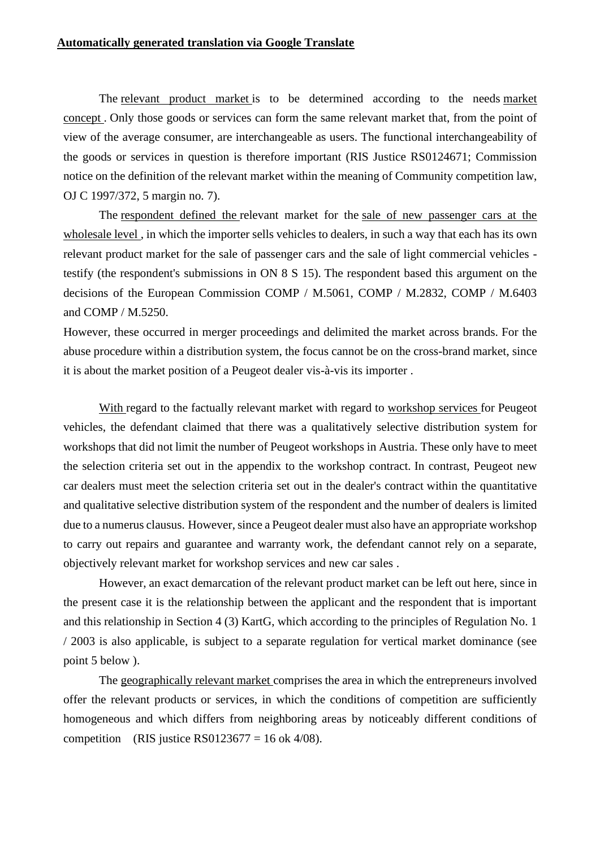The relevant product market is to be determined according to the needs market concept . Only those goods or services can form the same relevant market that, from the point of view of the average consumer, are interchangeable as users. The functional interchangeability of the goods or services in question is therefore important (RIS Justice RS0124671; Commission notice on the definition of the relevant market within the meaning of Community competition law, OJ C 1997/372, 5 margin no. 7).

The respondent defined the relevant market for the sale of new passenger cars at the wholesale level , in which the importer sells vehicles to dealers, in such a way that each has its own relevant product market for the sale of passenger cars and the sale of light commercial vehicles testify (the respondent's submissions in ON 8 S 15). The respondent based this argument on the decisions of the European Commission COMP / M.5061, COMP / M.2832, COMP / M.6403 and COMP / M.5250.

However, these occurred in merger proceedings and delimited the market across brands. For the abuse procedure within a distribution system, the focus cannot be on the cross-brand market, since it is about the market position of a Peugeot dealer vis-à-vis its importer .

With regard to the factually relevant market with regard to workshop services for Peugeot vehicles, the defendant claimed that there was a qualitatively selective distribution system for workshops that did not limit the number of Peugeot workshops in Austria. These only have to meet the selection criteria set out in the appendix to the workshop contract. In contrast, Peugeot new car dealers must meet the selection criteria set out in the dealer's contract within the quantitative and qualitative selective distribution system of the respondent and the number of dealers is limited due to a numerus clausus. However, since a Peugeot dealer must also have an appropriate workshop to carry out repairs and guarantee and warranty work, the defendant cannot rely on a separate, objectively relevant market for workshop services and new car sales .

However, an exact demarcation of the relevant product market can be left out here, since in the present case it is the relationship between the applicant and the respondent that is important and this relationship in Section 4 (3) KartG, which according to the principles of Regulation No. 1 / 2003 is also applicable, is subject to a separate regulation for vertical market dominance (see point 5 below ).

The geographically relevant market comprises the area in which the entrepreneurs involved offer the relevant products or services, in which the conditions of competition are sufficiently homogeneous and which differs from neighboring areas by noticeably different conditions of competition (RIS justice RS0123677 = 16 ok 4/08).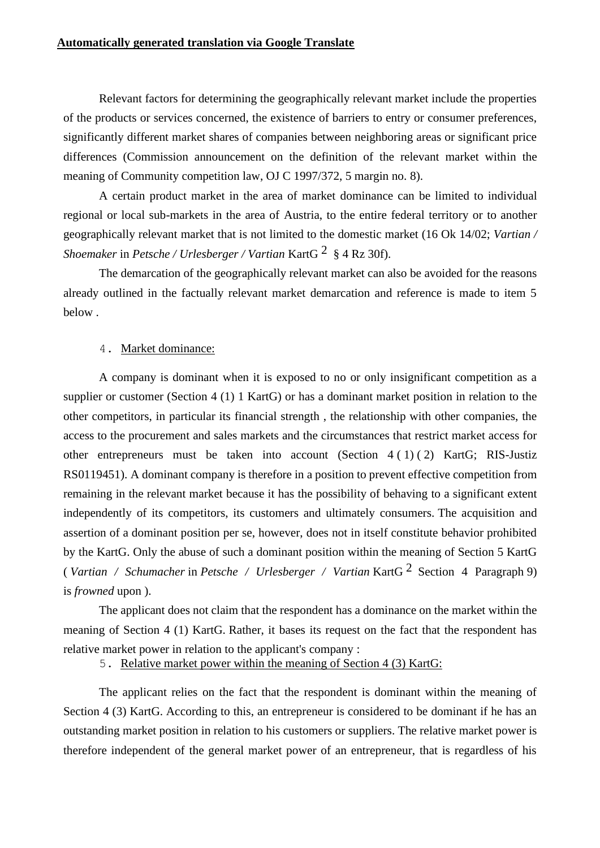Relevant factors for determining the geographically relevant market include the properties of the products or services concerned, the existence of barriers to entry or consumer preferences, significantly different market shares of companies between neighboring areas or significant price differences (Commission announcement on the definition of the relevant market within the meaning of Community competition law, OJ C 1997/372, 5 margin no. 8).

A certain product market in the area of market dominance can be limited to individual regional or local sub-markets in the area of Austria, to the entire federal territory or to another geographically relevant market that is not limited to the domestic market (16 Ok 14/02; *Vartian / Shoemaker* in *Petsche / Urlesberger / Vartian* KartG 2 § 4 Rz 30f).

The demarcation of the geographically relevant market can also be avoided for the reasons already outlined in the factually relevant market demarcation and reference is made to item 5 below .

#### 4. Market dominance:

A company is dominant when it is exposed to no or only insignificant competition as a supplier or customer (Section 4 (1) 1 KartG) or has a dominant market position in relation to the other competitors, in particular its financial strength , the relationship with other companies, the access to the procurement and sales markets and the circumstances that restrict market access for other entrepreneurs must be taken into account (Section 4 ( 1) ( 2) KartG; RIS-Justiz RS0119451). A dominant company is therefore in a position to prevent effective competition from remaining in the relevant market because it has the possibility of behaving to a significant extent independently of its competitors, its customers and ultimately consumers. The acquisition and assertion of a dominant position per se, however, does not in itself constitute behavior prohibited by the KartG. Only the abuse of such a dominant position within the meaning of Section 5 KartG ( *Vartian / Schumacher* in *Petsche / Urlesberger / Vartian* KartG 2 Section 4 Paragraph 9) is *frowned* upon ).

The applicant does not claim that the respondent has a dominance on the market within the meaning of Section 4 (1) KartG. Rather, it bases its request on the fact that the respondent has relative market power in relation to the applicant's company :

5. Relative market power within the meaning of Section 4 (3) KartG:

The applicant relies on the fact that the respondent is dominant within the meaning of Section 4 (3) KartG. According to this, an entrepreneur is considered to be dominant if he has an outstanding market position in relation to his customers or suppliers. The relative market power is therefore independent of the general market power of an entrepreneur, that is regardless of his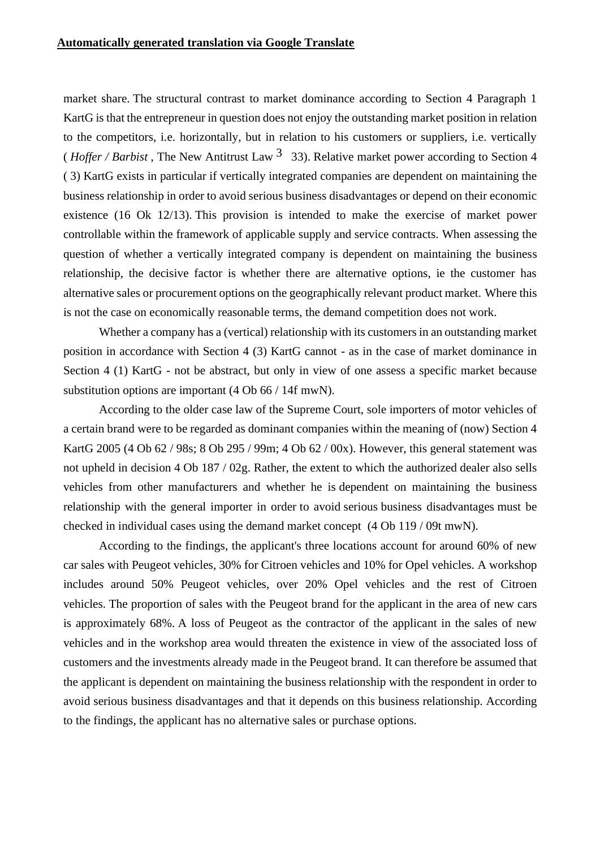market share. The structural contrast to market dominance according to Section 4 Paragraph 1 KartG is that the entrepreneur in question does not enjoy the outstanding market position in relation to the competitors, i.e. horizontally, but in relation to his customers or suppliers, i.e. vertically (*Hoffer / Barbist*, The New Antitrust Law  $3\overline{3}$ , Relative market power according to Section 4 ( 3) KartG exists in particular if vertically integrated companies are dependent on maintaining the business relationship in order to avoid serious business disadvantages or depend on their economic existence (16 Ok 12/13). This provision is intended to make the exercise of market power controllable within the framework of applicable supply and service contracts. When assessing the question of whether a vertically integrated company is dependent on maintaining the business relationship, the decisive factor is whether there are alternative options, ie the customer has alternative sales or procurement options on the geographically relevant product market. Where this is not the case on economically reasonable terms, the demand competition does not work.

Whether a company has a (vertical) relationship with its customers in an outstanding market position in accordance with Section 4 (3) KartG cannot - as in the case of market dominance in Section 4 (1) KartG - not be abstract, but only in view of one assess a specific market because substitution options are important (4 Ob 66 / 14f mwN).

According to the older case law of the Supreme Court, sole importers of motor vehicles of a certain brand were to be regarded as dominant companies within the meaning of (now) Section 4 KartG 2005 (4 Ob 62 / 98s; 8 Ob 295 / 99m; 4 Ob 62 / 00x). However, this general statement was not upheld in decision 4 Ob 187 / 02g. Rather, the extent to which the authorized dealer also sells vehicles from other manufacturers and whether he is dependent on maintaining the business relationship with the general importer in order to avoid serious business disadvantages must be checked in individual cases using the demand market concept (4 Ob 119 / 09t mwN).

According to the findings, the applicant's three locations account for around 60% of new car sales with Peugeot vehicles, 30% for Citroen vehicles and 10% for Opel vehicles. A workshop includes around 50% Peugeot vehicles, over 20% Opel vehicles and the rest of Citroen vehicles. The proportion of sales with the Peugeot brand for the applicant in the area of new cars is approximately 68%. A loss of Peugeot as the contractor of the applicant in the sales of new vehicles and in the workshop area would threaten the existence in view of the associated loss of customers and the investments already made in the Peugeot brand. It can therefore be assumed that the applicant is dependent on maintaining the business relationship with the respondent in order to avoid serious business disadvantages and that it depends on this business relationship. According to the findings, the applicant has no alternative sales or purchase options.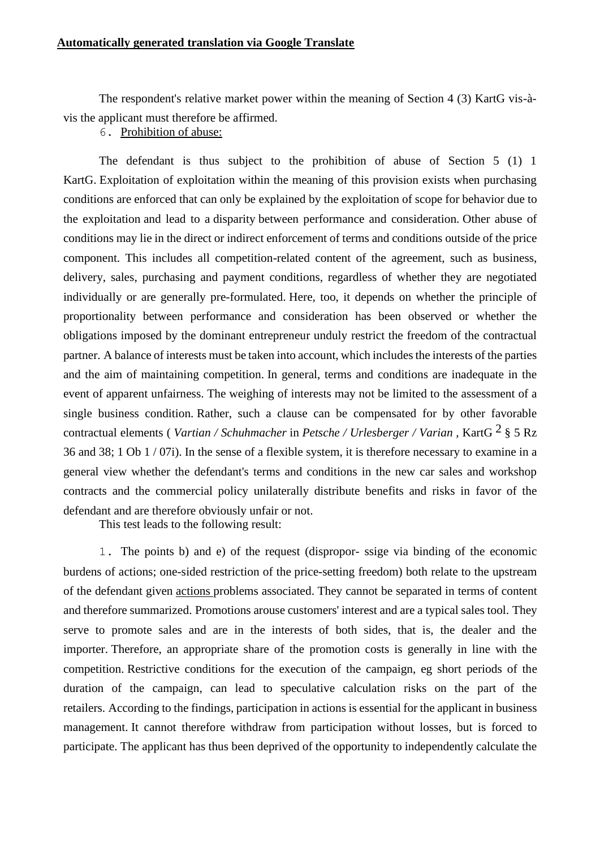The respondent's relative market power within the meaning of Section 4 (3) KartG vis-àvis the applicant must therefore be affirmed.

6. Prohibition of abuse:

The defendant is thus subject to the prohibition of abuse of Section 5 (1) 1 KartG. Exploitation of exploitation within the meaning of this provision exists when purchasing conditions are enforced that can only be explained by the exploitation of scope for behavior due to the exploitation and lead to a disparity between performance and consideration. Other abuse of conditions may lie in the direct or indirect enforcement of terms and conditions outside of the price component. This includes all competition-related content of the agreement, such as business, delivery, sales, purchasing and payment conditions, regardless of whether they are negotiated individually or are generally pre-formulated. Here, too, it depends on whether the principle of proportionality between performance and consideration has been observed or whether the obligations imposed by the dominant entrepreneur unduly restrict the freedom of the contractual partner. A balance of interests must be taken into account, which includes the interests of the parties and the aim of maintaining competition. In general, terms and conditions are inadequate in the event of apparent unfairness. The weighing of interests may not be limited to the assessment of a single business condition. Rather, such a clause can be compensated for by other favorable contractual elements ( *Vartian / Schuhmacher* in *Petsche / Urlesberger / Varian* , KartG 2 § 5 Rz 36 and 38; 1 Ob 1 / 07i). In the sense of a flexible system, it is therefore necessary to examine in a general view whether the defendant's terms and conditions in the new car sales and workshop contracts and the commercial policy unilaterally distribute benefits and risks in favor of the defendant and are therefore obviously unfair or not.

This test leads to the following result:

1. The points b) and e) of the request (dispropor- ssige via binding of the economic burdens of actions; one-sided restriction of the price-setting freedom) both relate to the upstream of the defendant given actions problems associated. They cannot be separated in terms of content and therefore summarized. Promotions arouse customers' interest and are a typical sales tool. They serve to promote sales and are in the interests of both sides, that is, the dealer and the importer. Therefore, an appropriate share of the promotion costs is generally in line with the competition. Restrictive conditions for the execution of the campaign, eg short periods of the duration of the campaign, can lead to speculative calculation risks on the part of the retailers. According to the findings, participation in actions is essential for the applicant in business management. It cannot therefore withdraw from participation without losses, but is forced to participate. The applicant has thus been deprived of the opportunity to independently calculate the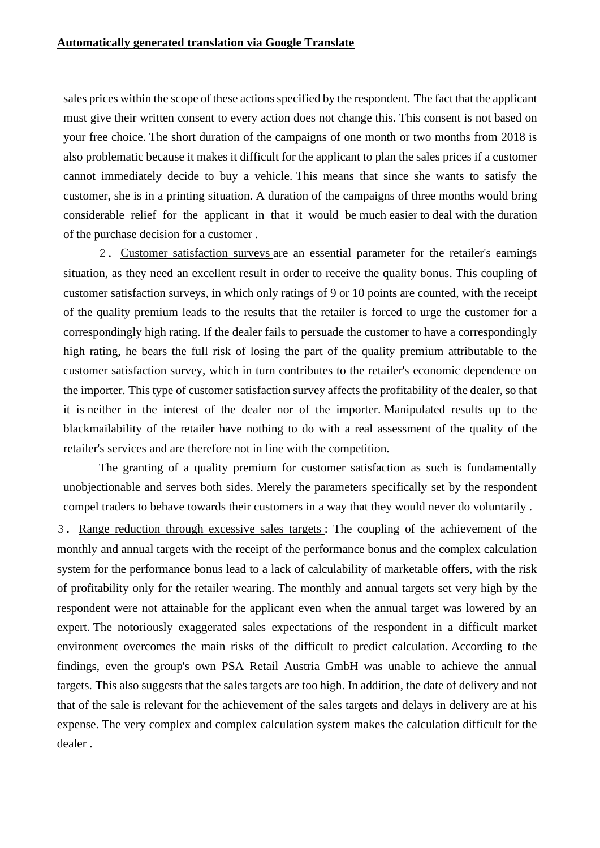sales prices within the scope of these actions specified by the respondent. The fact that the applicant must give their written consent to every action does not change this. This consent is not based on your free choice. The short duration of the campaigns of one month or two months from 2018 is also problematic because it makes it difficult for the applicant to plan the sales prices if a customer cannot immediately decide to buy a vehicle. This means that since she wants to satisfy the customer, she is in a printing situation. A duration of the campaigns of three months would bring considerable relief for the applicant in that it would be much easier to deal with the duration of the purchase decision for a customer .

2. Customer satisfaction surveys are an essential parameter for the retailer's earnings situation, as they need an excellent result in order to receive the quality bonus. This coupling of customer satisfaction surveys, in which only ratings of 9 or 10 points are counted, with the receipt of the quality premium leads to the results that the retailer is forced to urge the customer for a correspondingly high rating. If the dealer fails to persuade the customer to have a correspondingly high rating, he bears the full risk of losing the part of the quality premium attributable to the customer satisfaction survey, which in turn contributes to the retailer's economic dependence on the importer. This type of customer satisfaction survey affects the profitability of the dealer, so that it is neither in the interest of the dealer nor of the importer. Manipulated results up to the blackmailability of the retailer have nothing to do with a real assessment of the quality of the retailer's services and are therefore not in line with the competition.

The granting of a quality premium for customer satisfaction as such is fundamentally unobjectionable and serves both sides. Merely the parameters specifically set by the respondent compel traders to behave towards their customers in a way that they would never do voluntarily .

3. Range reduction through excessive sales targets : The coupling of the achievement of the monthly and annual targets with the receipt of the performance bonus and the complex calculation system for the performance bonus lead to a lack of calculability of marketable offers, with the risk of profitability only for the retailer wearing. The monthly and annual targets set very high by the respondent were not attainable for the applicant even when the annual target was lowered by an expert. The notoriously exaggerated sales expectations of the respondent in a difficult market environment overcomes the main risks of the difficult to predict calculation. According to the findings, even the group's own PSA Retail Austria GmbH was unable to achieve the annual targets. This also suggests that the sales targets are too high. In addition, the date of delivery and not that of the sale is relevant for the achievement of the sales targets and delays in delivery are at his expense. The very complex and complex calculation system makes the calculation difficult for the dealer .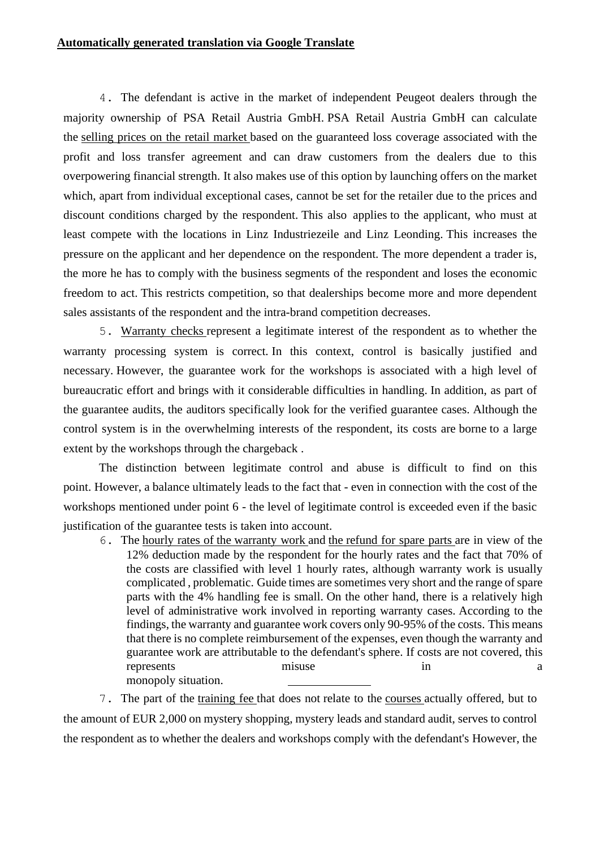4. The defendant is active in the market of independent Peugeot dealers through the majority ownership of PSA Retail Austria GmbH. PSA Retail Austria GmbH can calculate the selling prices on the retail market based on the guaranteed loss coverage associated with the profit and loss transfer agreement and can draw customers from the dealers due to this overpowering financial strength. It also makes use of this option by launching offers on the market which, apart from individual exceptional cases, cannot be set for the retailer due to the prices and discount conditions charged by the respondent. This also applies to the applicant, who must at least compete with the locations in Linz Industriezeile and Linz Leonding. This increases the pressure on the applicant and her dependence on the respondent. The more dependent a trader is, the more he has to comply with the business segments of the respondent and loses the economic freedom to act. This restricts competition, so that dealerships become more and more dependent sales assistants of the respondent and the intra-brand competition decreases.

5. Warranty checks represent a legitimate interest of the respondent as to whether the warranty processing system is correct. In this context, control is basically justified and necessary. However, the guarantee work for the workshops is associated with a high level of bureaucratic effort and brings with it considerable difficulties in handling. In addition, as part of the guarantee audits, the auditors specifically look for the verified guarantee cases. Although the control system is in the overwhelming interests of the respondent, its costs are borne to a large extent by the workshops through the chargeback .

The distinction between legitimate control and abuse is difficult to find on this point. However, a balance ultimately leads to the fact that - even in connection with the cost of the workshops mentioned under point 6 - the level of legitimate control is exceeded even if the basic justification of the guarantee tests is taken into account.

6. The hourly rates of the warranty work and the refund for spare parts are in view of the 12% deduction made by the respondent for the hourly rates and the fact that 70% of the costs are classified with level 1 hourly rates, although warranty work is usually complicated , problematic. Guide times are sometimes very short and the range of spare parts with the 4% handling fee is small. On the other hand, there is a relatively high level of administrative work involved in reporting warranty cases. According to the findings, the warranty and guarantee work covers only 90-95% of the costs. This means that there is no complete reimbursement of the expenses, even though the warranty and guarantee work are attributable to the defendant's sphere. If costs are not covered, this represents misuse in a misuse in a set of  $\alpha$  and  $\alpha$  and  $\alpha$  and  $\alpha$  and  $\alpha$  and  $\alpha$  and  $\alpha$  and  $\alpha$  and  $\alpha$  and  $\alpha$  and  $\alpha$  and  $\alpha$  and  $\alpha$  and  $\alpha$  and  $\alpha$  and  $\alpha$  and  $\alpha$  and  $\alpha$  and  $\alpha$  and  $\alpha$  and monopoly situation.

7. The part of the training fee that does not relate to the courses actually offered, but to the amount of EUR 2,000 on mystery shopping, mystery leads and standard audit, serves to control the respondent as to whether the dealers and workshops comply with the defendant's However, the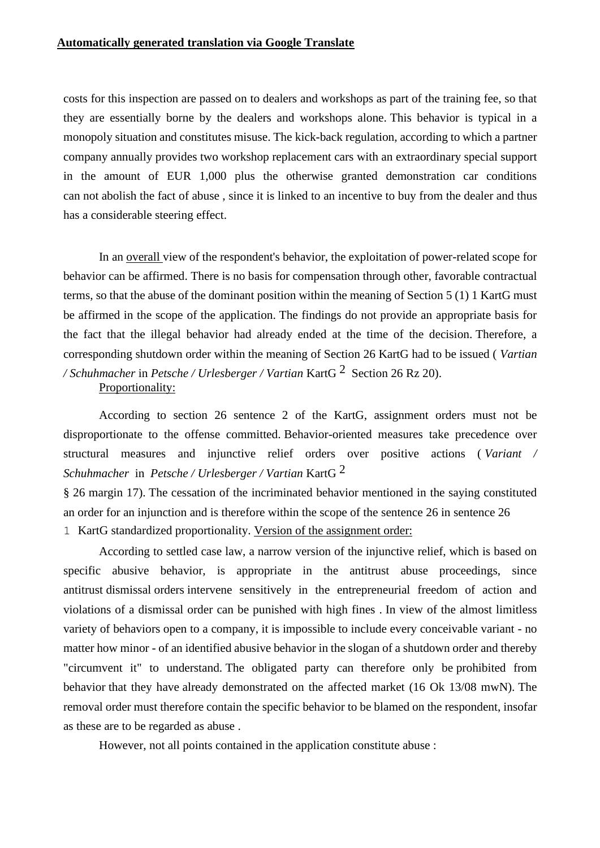#### **Automatically generated translation via Google Translate**

costs for this inspection are passed on to dealers and workshops as part of the training fee, so that they are essentially borne by the dealers and workshops alone. This behavior is typical in a monopoly situation and constitutes misuse. The kick-back regulation, according to which a partner company annually provides two workshop replacement cars with an extraordinary special support in the amount of EUR 1,000 plus the otherwise granted demonstration car conditions can not abolish the fact of abuse , since it is linked to an incentive to buy from the dealer and thus has a considerable steering effect.

In an overall view of the respondent's behavior, the exploitation of power-related scope for behavior can be affirmed. There is no basis for compensation through other, favorable contractual terms, so that the abuse of the dominant position within the meaning of Section 5 (1) 1 KartG must be affirmed in the scope of the application. The findings do not provide an appropriate basis for the fact that the illegal behavior had already ended at the time of the decision. Therefore, a corresponding shutdown order within the meaning of Section 26 KartG had to be issued ( *Vartian / Schuhmacher* in *Petsche / Urlesberger / Vartian* KartG 2 Section 26 Rz 20).

Proportionality:

According to section 26 sentence 2 of the KartG, assignment orders must not be disproportionate to the offense committed. Behavior-oriented measures take precedence over structural measures and injunctive relief orders over positive actions ( *Variant / Schuhmacher* in *Petsche / Urlesberger / Vartian* KartG 2

§ 26 margin 17). The cessation of the incriminated behavior mentioned in the saying constituted an order for an injunction and is therefore within the scope of the sentence 26 in sentence 26 1 KartG standardized proportionality. Version of the assignment order:

According to settled case law, a narrow version of the injunctive relief, which is based on specific abusive behavior, is appropriate in the antitrust abuse proceedings, since antitrust dismissal orders intervene sensitively in the entrepreneurial freedom of action and violations of a dismissal order can be punished with high fines . In view of the almost limitless variety of behaviors open to a company, it is impossible to include every conceivable variant - no matter how minor - of an identified abusive behavior in the slogan of a shutdown order and thereby "circumvent it" to understand. The obligated party can therefore only be prohibited from behavior that they have already demonstrated on the affected market (16 Ok 13/08 mwN). The removal order must therefore contain the specific behavior to be blamed on the respondent, insofar as these are to be regarded as abuse .

However, not all points contained in the application constitute abuse :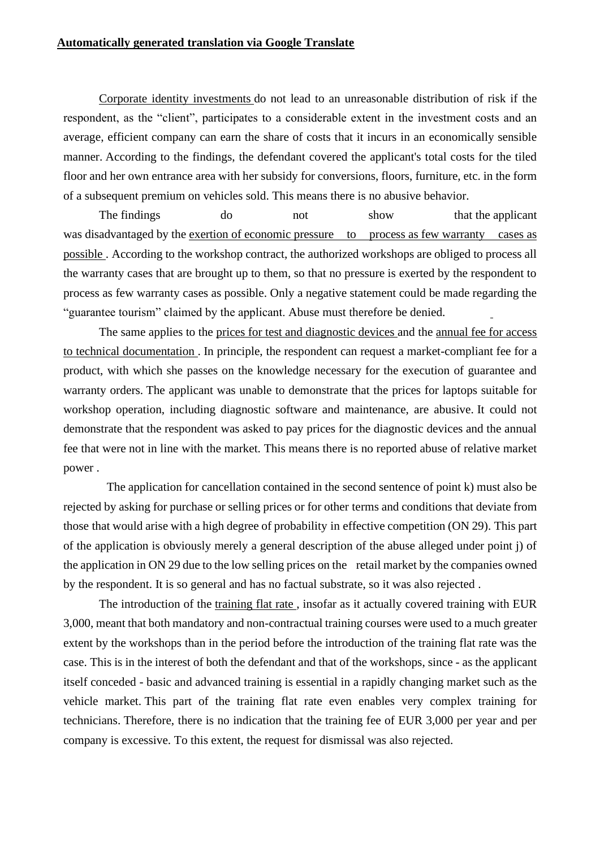Corporate identity investments do not lead to an unreasonable distribution of risk if the respondent, as the "client", participates to a considerable extent in the investment costs and an average, efficient company can earn the share of costs that it incurs in an economically sensible manner. According to the findings, the defendant covered the applicant's total costs for the tiled floor and her own entrance area with her subsidy for conversions, floors, furniture, etc. in the form of a subsequent premium on vehicles sold. This means there is no abusive behavior.

The findings do not show that the applicant was disadvantaged by the exertion of economic pressure to process as few warranty cases as possible . According to the workshop contract, the authorized workshops are obliged to process all the warranty cases that are brought up to them, so that no pressure is exerted by the respondent to process as few warranty cases as possible. Only a negative statement could be made regarding the "guarantee tourism" claimed by the applicant. Abuse must therefore be denied.

The same applies to the prices for test and diagnostic devices and the annual fee for access to technical documentation . In principle, the respondent can request a market-compliant fee for a product, with which she passes on the knowledge necessary for the execution of guarantee and warranty orders. The applicant was unable to demonstrate that the prices for laptops suitable for workshop operation, including diagnostic software and maintenance, are abusive. It could not demonstrate that the respondent was asked to pay prices for the diagnostic devices and the annual fee that were not in line with the market. This means there is no reported abuse of relative market power .

The application for cancellation contained in the second sentence of point k) must also be rejected by asking for purchase or selling prices or for other terms and conditions that deviate from those that would arise with a high degree of probability in effective competition (ON 29). This part of the application is obviously merely a general description of the abuse alleged under point j) of the application in ON 29 due to the low selling prices on the retail market by the companies owned by the respondent. It is so general and has no factual substrate, so it was also rejected .

The introduction of the training flat rate , insofar as it actually covered training with EUR 3,000, meant that both mandatory and non-contractual training courses were used to a much greater extent by the workshops than in the period before the introduction of the training flat rate was the case. This is in the interest of both the defendant and that of the workshops, since - as the applicant itself conceded - basic and advanced training is essential in a rapidly changing market such as the vehicle market. This part of the training flat rate even enables very complex training for technicians. Therefore, there is no indication that the training fee of EUR 3,000 per year and per company is excessive. To this extent, the request for dismissal was also rejected.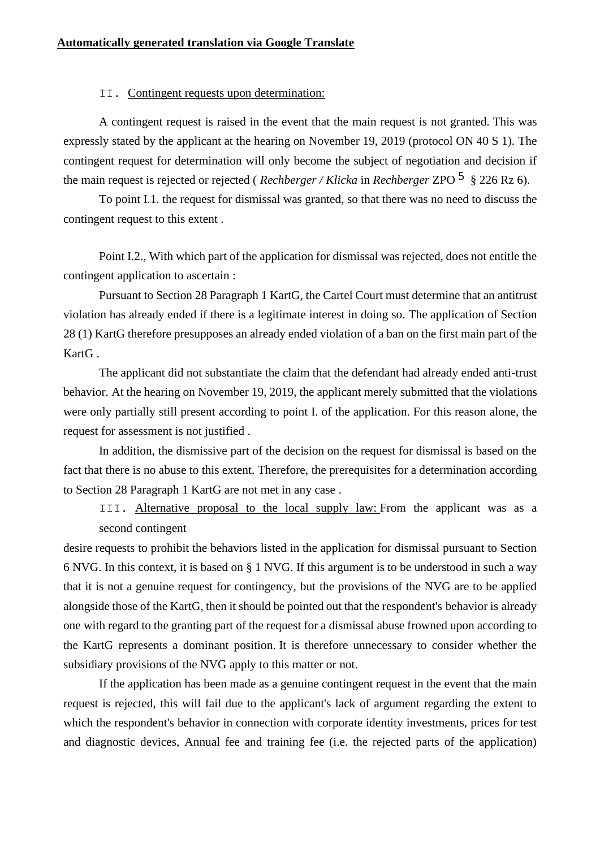#### II. Contingent requests upon determination:

A contingent request is raised in the event that the main request is not granted. This was expressly stated by the applicant at the hearing on November 19, 2019 (protocol ON 40 S 1). The contingent request for determination will only become the subject of negotiation and decision if the main request is rejected or rejected ( *Rechberger / Klicka* in *Rechberger* ZPO 5 § 226 Rz 6).

To point I.1. the request for dismissal was granted, so that there was no need to discuss the contingent request to this extent .

Point I.2., With which part of the application for dismissal was rejected, does not entitle the contingent application to ascertain :

Pursuant to Section 28 Paragraph 1 KartG, the Cartel Court must determine that an antitrust violation has already ended if there is a legitimate interest in doing so. The application of Section 28 (1) KartG therefore presupposes an already ended violation of a ban on the first main part of the KartG .

The applicant did not substantiate the claim that the defendant had already ended anti-trust behavior. At the hearing on November 19, 2019, the applicant merely submitted that the violations were only partially still present according to point I. of the application. For this reason alone, the request for assessment is not justified .

In addition, the dismissive part of the decision on the request for dismissal is based on the fact that there is no abuse to this extent. Therefore, the prerequisites for a determination according to Section 28 Paragraph 1 KartG are not met in any case .

III. Alternative proposal to the local supply law: From the applicant was as a second contingent

desire requests to prohibit the behaviors listed in the application for dismissal pursuant to Section 6 NVG. In this context, it is based on § 1 NVG. If this argument is to be understood in such a way that it is not a genuine request for contingency, but the provisions of the NVG are to be applied alongside those of the KartG, then it should be pointed out that the respondent's behavior is already one with regard to the granting part of the request for a dismissal abuse frowned upon according to the KartG represents a dominant position. It is therefore unnecessary to consider whether the subsidiary provisions of the NVG apply to this matter or not.

If the application has been made as a genuine contingent request in the event that the main request is rejected, this will fail due to the applicant's lack of argument regarding the extent to which the respondent's behavior in connection with corporate identity investments, prices for test and diagnostic devices, Annual fee and training fee (i.e. the rejected parts of the application)